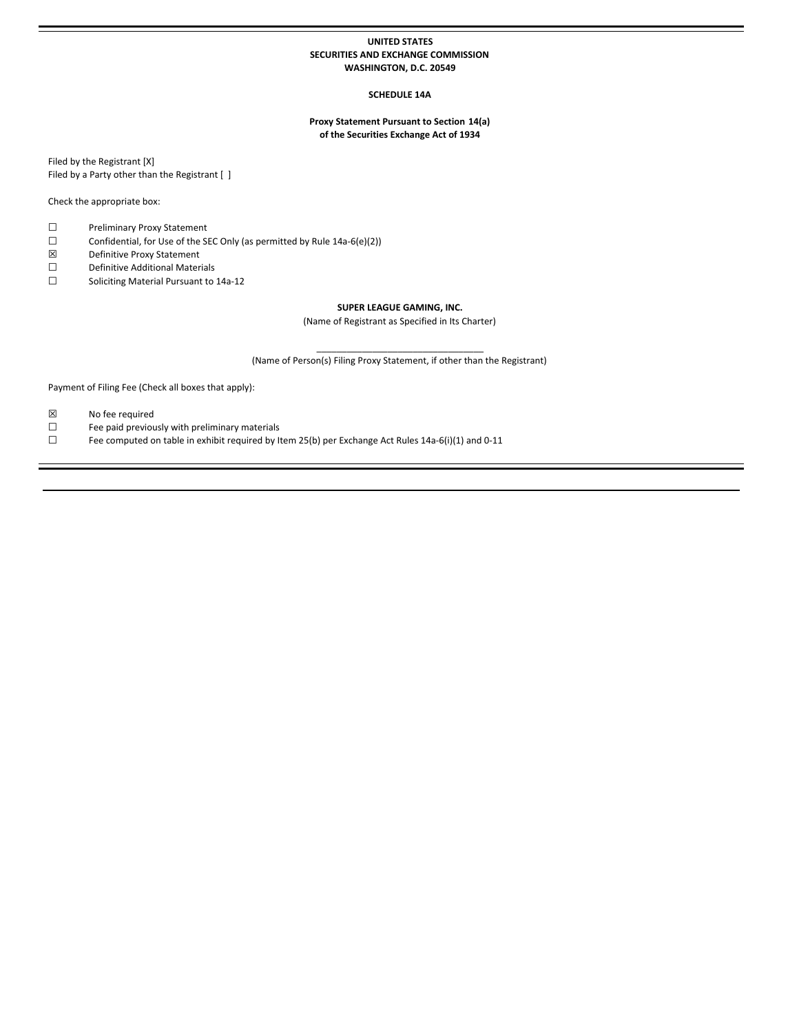# **UNITED STATES SECURITIES AND EXCHANGE COMMISSION WASHINGTON, D.C. 20549**

# **SCHEDULE 14A**

# **Proxy Statement Pursuant to Section 14(a) of the Securities Exchange Act of 1934**

Filed by the Registrant [X] Filed by a Party other than the Registrant [ ]

Check the appropriate box:

- ☐ Preliminary Proxy Statement
- ☐ Confidential, for Use of the SEC Only (as permitted by Rule 14a-6(e)(2))
- ☒ Definitive Proxy Statement
- ☐ Definitive Additional Materials
- ☐ Soliciting Material Pursuant to 14a-12

# **SUPER LEAGUE GAMING, INC.**

(Name of Registrant as Specified in Its Charter)

 $\_$ (Name of Person(s) Filing Proxy Statement, if other than the Registrant)

Payment of Filing Fee (Check all boxes that apply):

- ☒ No fee required
- ☐ Fee paid previously with preliminary materials
- □ Fee computed on table in exhibit required by Item 25(b) per Exchange Act Rules 14a-6(i)(1) and 0-11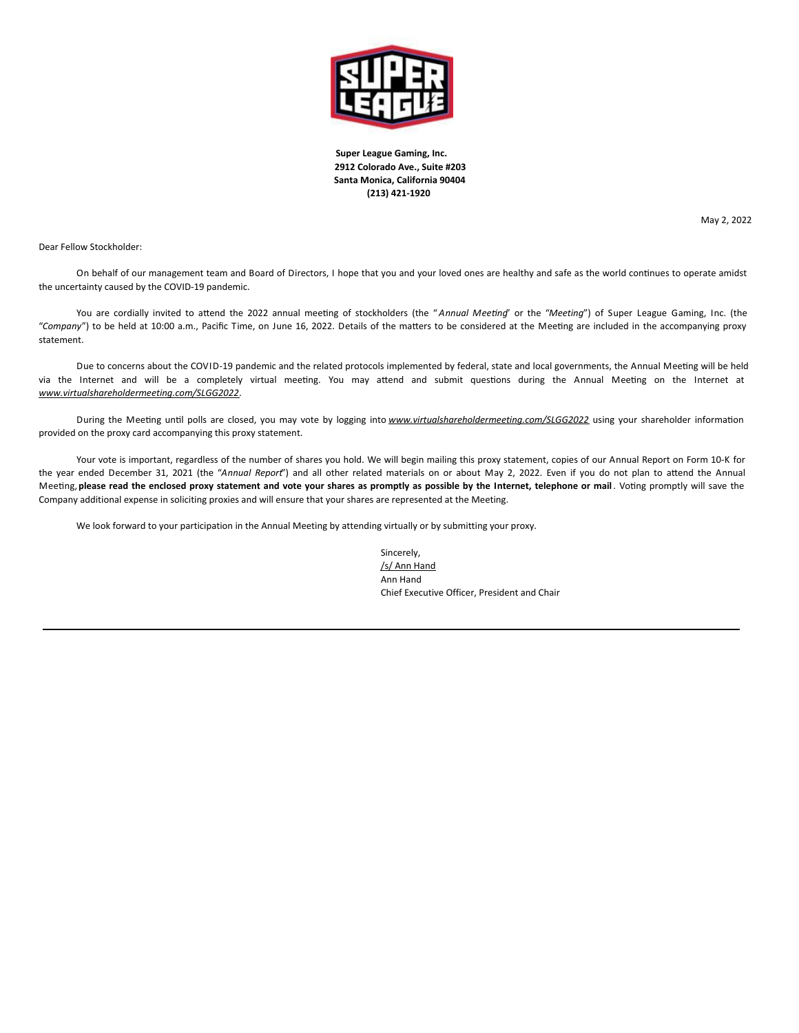

**Super League Gaming, Inc. 2912 Colorado Ave., Suite #203 Santa Monica, California 90404 (213) 421-1920**

May 2, 2022

Dear Fellow Stockholder:

On behalf of our management team and Board of Directors, I hope that you and your loved ones are healthy and safe as the world continues to operate amidst the uncertainty caused by the COVID-19 pandemic.

You are cordially invited to attend the 2022 annual meeting of stockholders (the "Annual Meeting" or the "Meeting") of Super League Gaming, Inc. (the "Company") to be held at 10:00 a.m., Pacific Time, on June 16, 2022. Details of the matters to be considered at the Meeting are included in the accompanying proxy statement.

Due to concerns about the COVID-19 pandemic and the related protocols implemented by federal, state and local governments, the Annual Meeting will be held via the Internet and will be a completely virtual meeting. You may attend and submit questions during the Annual Meeting on the Internet at *www.virtualshareholdermeeting.com/SLGG2022*.

During the Meeting until polls are closed, you may vote by logging into *www.virtualshareholdermeeting.com/SLGG2022* using your shareholder information provided on the proxy card accompanying this proxy statement.

Your vote is important, regardless of the number of shares you hold. We will begin mailing this proxy statement, copies of our Annual Report on Form 10-K for the year ended December 31, 2021 (the "Annual Report") and all other related materials on or about May 2, 2022. Even if you do not plan to attend the Annual Meeting, please read the enclosed proxy statement and vote your shares as promptly as possible by the Internet, telephone or mail. Voting promptly will save the Company additional expense in soliciting proxies and will ensure that your shares are represented at the Meeting.

We look forward to your participation in the Annual Meeting by attending virtually or by submitting your proxy.

Sincerely, /s/ Ann Hand Ann Hand Chief Executive Officer, President and Chair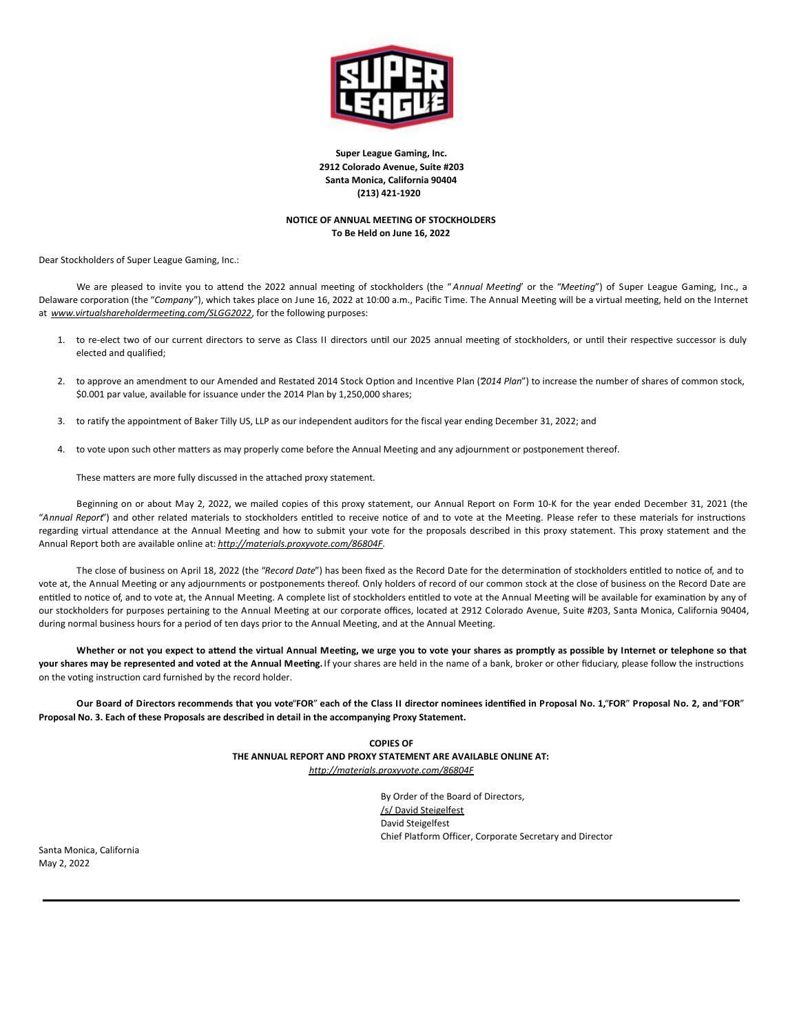

**Super League Gaming, Inc. 2912 Colorado Avenue, Suite #203 Santa Monica, California 90404 (213) 421-1920**

# **NOTICE OF ANNUAL MEETING OF STOCKHOLDERS To Be Held on June 16, 2022**

Dear Stockholders of Super League Gaming, Inc.:

We are pleased to invite you to attend the 2022 annual meeting of stockholders (the "Annual Meeting" or the "Meeting") of Super League Gaming, Inc., a Delaware corporation (the "Company"), which takes place on June 16, 2022 at 10:00 a.m., Pacific Time. The Annual Meeting will be a virtual meeting, held on the Internet at *www.virtualshareholdermeeting.com/SLGG2022*, for the following purposes:

- 1. to re-elect two of our current directors to serve as Class II directors until our 2025 annual meeting of stockholders, or until their respective successor is duly elected and qualified;
- 2. to approve an amendment to our Amended and Restated 2014 Stock Option and Incentive Plan (2014 *Plan*") to increase the number of shares of common stock, \$0.001 par value, available for issuance under the 2014 Plan by 1,250,000 shares;
- 3. to ratify the appointment of Baker Tilly US, LLP as our independent auditors for the fiscal year ending December 31, 2022; and
- 4. to vote upon such other matters as may properly come before the Annual Meeting and any adjournment or postponement thereof.

These matters are more fully discussed in the attached proxy statement.

Beginning on or about May 2, 2022, we mailed copies of this proxy statement, our Annual Report on Form 10-K for the year ended December 31, 2021 (the "Annual Report") and other related materials to stockholders entitled to receive notice of and to vote at the Meeting. Please refer to these materials for instructions regarding virtual attendance at the Annual Meeting and how to submit your vote for the proposals described in this proxy statement. This proxy statement and the Annual Report both are available online at: *http://materials.proxyvote.com/86804F*.

The close of business on April 18, 2022 (the "Record Date") has been fixed as the Record Date for the determination of stockholders entitled to notice of, and to vote at, the Annual Meeting or any adjournments or postponements thereof. Only holders of record of our common stock at the close of business on the Record Date are entitled to notice of, and to vote at, the Annual Meeting. A complete list of stockholders entitled to vote at the Annual Meeting will be available for examination by any of our stockholders for purposes pertaining to the Annual Meeting at our corporate offices, located at 2912 Colorado Avenue, Suite #203, Santa Monica, California 90404, during normal business hours for a period of ten days prior to the Annual Meeting, and at the Annual Meeting.

Whether or not you expect to attend the virtual Annual Meeting, we urge you to vote your shares as promptly as possible by Internet or telephone so that your shares may be represented and voted at the Annual Meeting. If your shares are held in the name of a bank, broker or other fiduciary, please follow the instructions on the voting instruction card furnished by the record holder.

Our Board of Directors recommends that you vote"FOR" each of the Class II director nominees identified in Proposal No. 1,"FOR" Proposal No. 2, and "FOR" **Proposal No. 3. Each of these Proposals are described in detail in the accompanying Proxy Statement.**

> **COPIES OF THE ANNUAL REPORT AND PROXY STATEMENT ARE AVAILABLE ONLINE AT:** *http://materials.proxyvote.com/86804F*

> > By Order of the Board of Directors, /s/ David Steigelfest David Steigelfest Chief Platform Officer, Corporate Secretary and Director

Santa Monica, California May 2, 2022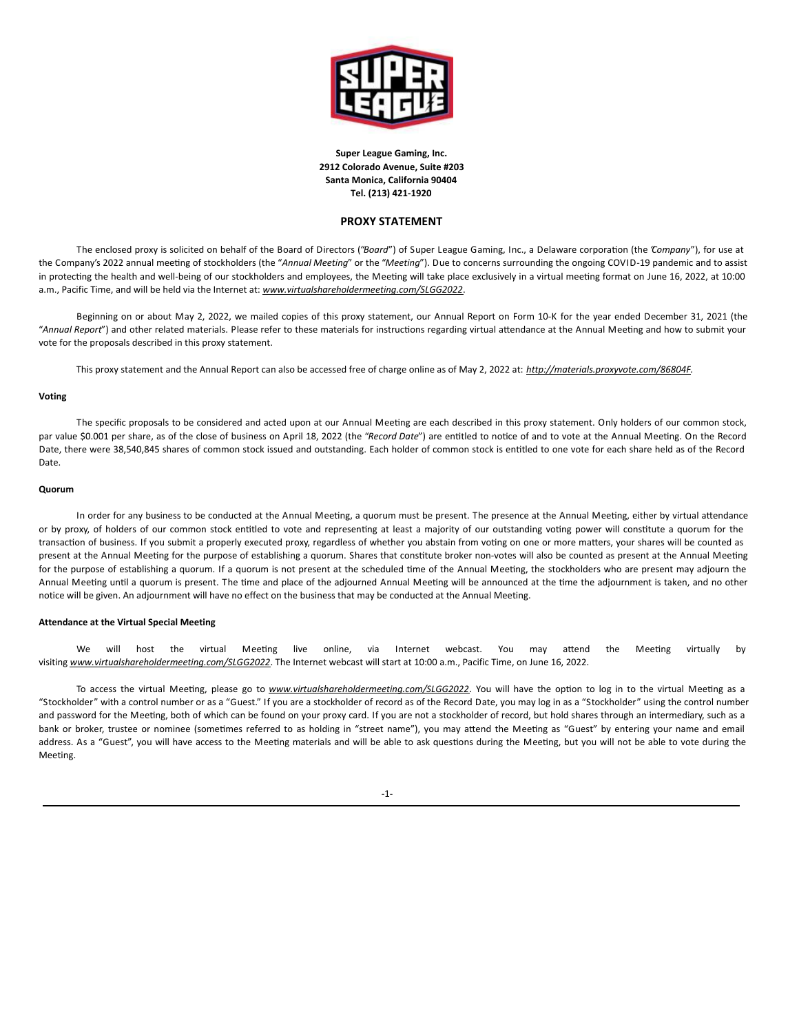

**Super League Gaming, Inc. 2912 Colorado Avenue, Suite #203 Santa Monica, California 90404 Tel. (213) 421-1920**

# **PROXY STATEMENT**

The enclosed proxy is solicited on behalf of the Board of Directors ("Board") of Super League Gaming, Inc., a Delaware corporation (the "Company"), for use at the Company's 2022 annual meeting of stockholders (the "Annual Meeting" or the "Meeting"). Due to concerns surrounding the ongoing COVID-19 pandemic and to assist in protecting the health and well-being of our stockholders and employees, the Meeting will take place exclusively in a virtual meeting format on June 16, 2022, at 10:00 a.m., Pacific Time, and will be held via the Internet at: *www.virtualshareholdermeeting.com/SLGG2022*.

Beginning on or about May 2, 2022, we mailed copies of this proxy statement, our Annual Report on Form 10-K for the year ended December 31, 2021 (the "Annual Report") and other related materials. Please refer to these materials for instructions regarding virtual attendance at the Annual Meeting and how to submit your vote for the proposals described in this proxy statement.

This proxy statement and the Annual Report can also be accessed free of charge online as of May 2, 2022 at: *http://materials.proxyvote.com/86804F.*

# **Voting**

The specific proposals to be considered and acted upon at our Annual Meeting are each described in this proxy statement. Only holders of our common stock, par value \$0.001 per share, as of the close of business on April 18, 2022 (the "Record Date") are entitled to notice of and to vote at the Annual Meeting. On the Record Date, there were 38,540,845 shares of common stock issued and outstanding. Each holder of common stock is entitled to one vote for each share held as of the Record Date.

# **Quorum**

In order for any business to be conducted at the Annual Meeting, a quorum must be present. The presence at the Annual Meeting, either by virtual attendance or by proxy, of holders of our common stock entitled to vote and representing at least a majority of our outstanding voting power will constitute a quorum for the transaction of business. If you submit a properly executed proxy, regardless of whether you abstain from voting on one or more matters, your shares will be counted as present at the Annual Meeting for the purpose of establishing a quorum. Shares that constitute broker non-votes will also be counted as present at the Annual Meeting for the purpose of establishing a quorum. If a quorum is not present at the scheduled time of the Annual Meeting, the stockholders who are present may adjourn the Annual Meeting until a quorum is present. The time and place of the adjourned Annual Meeting will be announced at the time the adjournment is taken, and no other notice will be given. An adjournment will have no effect on the business that may be conducted at the Annual Meeting.

## **Attendance at the Virtual Special Meeting**

We will host the virtual Meeting live online, via Internet webcast. You may attend the Meeting virtually by visiting *www.virtualshareholdermeeting.com/SLGG2022*. The Internet webcast will start at 10:00 a.m., Pacific Time, on June 16, 2022.

To access the virtual Meeting, please go to *www.virtualshareholdermeeting.com/SLGG2022*. You will have the option to log in to the virtual Meeting as a "Stockholder" with a control number or as a "Guest." If you are a stockholder of record as of the Record Date, you may log in as a "Stockholder" using the control number and password for the Meeting, both of which can be found on your proxy card. If you are not a stockholder of record, but hold shares through an intermediary, such as a bank or broker, trustee or nominee (sometimes referred to as holding in "street name"), you may attend the Meeting as "Guest" by entering your name and email address. As a "Guest", you will have access to the Meeting materials and will be able to ask questions during the Meeting, but you will not be able to vote during the Meeting.

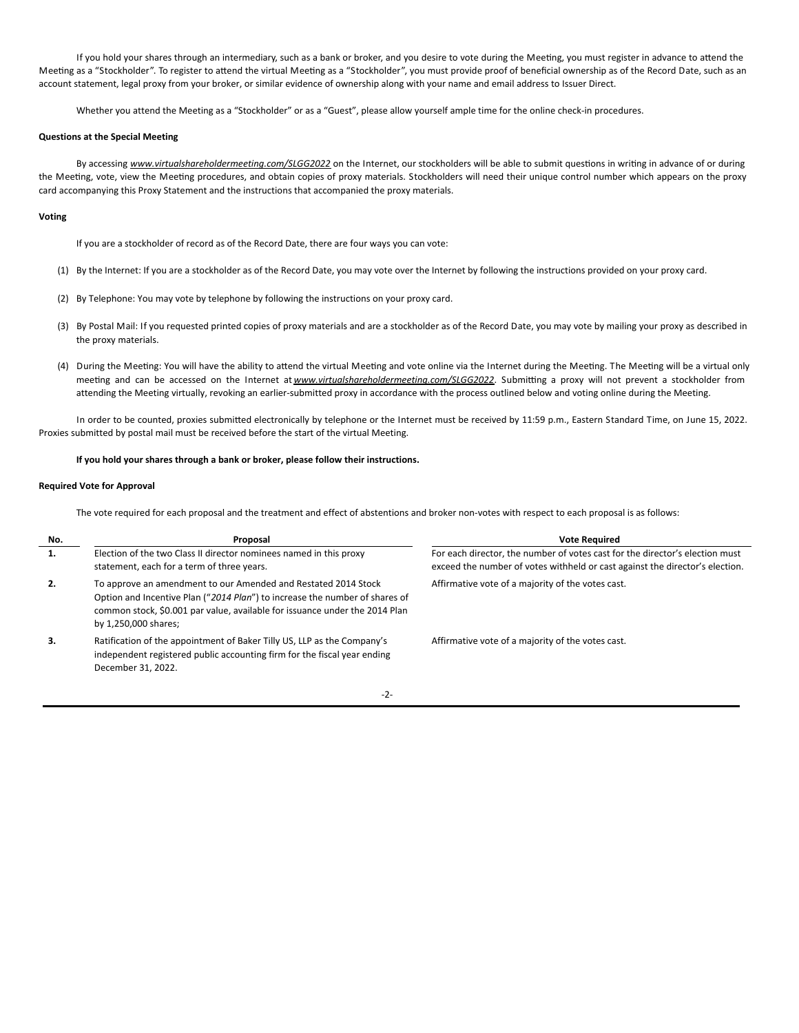If you hold your shares through an intermediary, such as a bank or broker, and you desire to vote during the Meeting, you must register in advance to attend the Meeting as a "Stockholder". To register to attend the virtual Meeting as a "Stockholder", you must provide proof of beneficial ownership as of the Record Date, such as an account statement, legal proxy from your broker, or similar evidence of ownership along with your name and email address to Issuer Direct.

Whether you attend the Meeting as a "Stockholder" or as a "Guest", please allow yourself ample time for the online check-in procedures.

# **Questions at the Special Meeting**

By accessing www.virtualshareholdermeeting.com/SLGG2022 on the Internet, our stockholders will be able to submit questions in writing in advance of or during the Meeting, vote, view the Meeting procedures, and obtain copies of proxy materials. Stockholders will need their unique control number which appears on the proxy card accompanying this Proxy Statement and the instructions that accompanied the proxy materials.

## **Voting**

If you are a stockholder of record as of the Record Date, there are four ways you can vote:

- (1) By the Internet: If you are a stockholder as of the Record Date, you may vote over the Internet by following the instructions provided on your proxy card.
- (2) By Telephone: You may vote by telephone by following the instructions on your proxy card.
- (3) By Postal Mail: If you requested printed copies of proxy materials and are a stockholder as of the Record Date, you may vote by mailing your proxy as described in the proxy materials.
- (4) During the Meeting: You will have the ability to attend the virtual Meeting and vote online via the Internet during the Meeting. The Meeting will be a virtual only meeting and can be accessed on the Internet at *www.virtualshareholdermeeting.com/SLGG2022*. Submitting a proxy will not prevent a stockholder from attending the Meeting virtually, revoking an earlier-submitted proxy in accordance with the process outlined below and voting online during the Meeting.

In order to be counted, proxies submitted electronically by telephone or the Internet must be received by 11:59 p.m., Eastern Standard Time, on June 15, 2022. Proxies submitted by postal mail must be received before the start of the virtual Meeting.

# **If you hold your shares through a bank or broker, please follow their instructions.**

# **Required Vote for Approval**

The vote required for each proposal and the treatment and effect of abstentions and broker non-votes with respect to each proposal is as follows:

| No. | Proposal                                                                                                                                                                                                                                             | <b>Vote Required</b>                                                                                                                                         |
|-----|------------------------------------------------------------------------------------------------------------------------------------------------------------------------------------------------------------------------------------------------------|--------------------------------------------------------------------------------------------------------------------------------------------------------------|
| 1.  | Election of the two Class II director nominees named in this proxy<br>statement, each for a term of three years.                                                                                                                                     | For each director, the number of votes cast for the director's election must<br>exceed the number of votes withheld or cast against the director's election. |
| 2.  | To approve an amendment to our Amended and Restated 2014 Stock<br>Option and Incentive Plan ("2014 Plan") to increase the number of shares of<br>common stock, \$0.001 par value, available for issuance under the 2014 Plan<br>by 1,250,000 shares; | Affirmative vote of a majority of the votes cast.                                                                                                            |
| З.  | Ratification of the appointment of Baker Tilly US, LLP as the Company's<br>independent registered public accounting firm for the fiscal year ending<br>December 31, 2022.                                                                            | Affirmative vote of a majority of the votes cast.                                                                                                            |

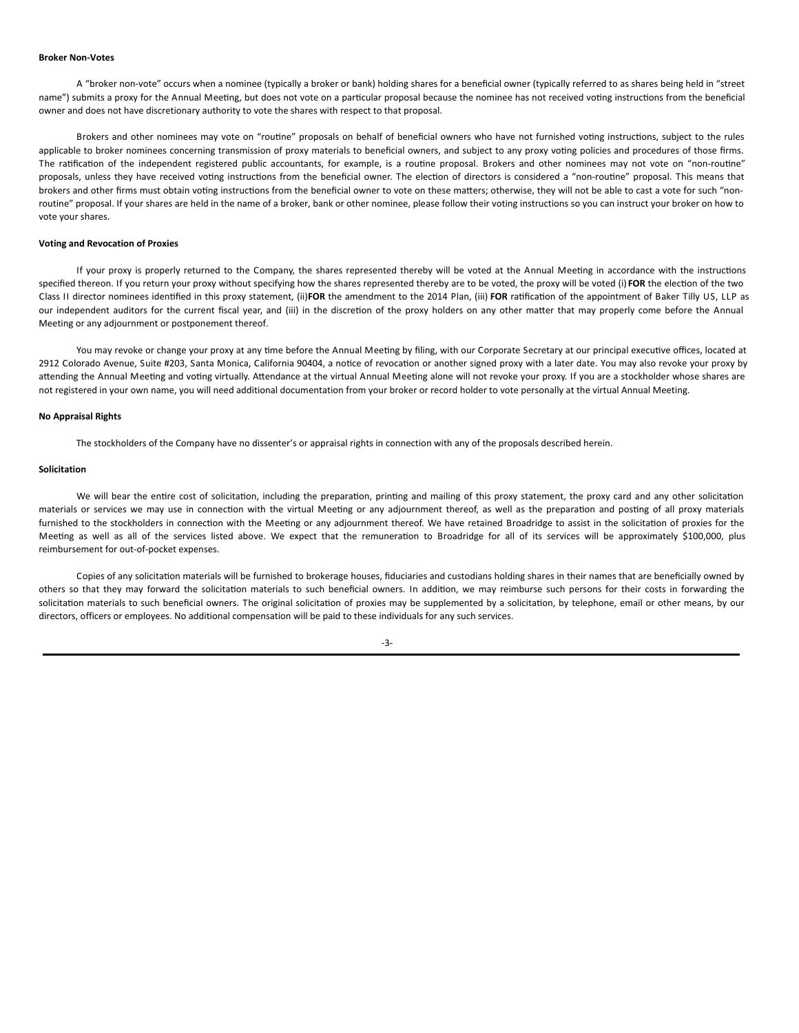#### **Broker Non-Votes**

A "broker non-vote" occurs when a nominee (typically a broker or bank) holding shares for a beneficial owner (typically referred to as shares being held in "street name") submits a proxy for the Annual Meeting, but does not vote on a particular proposal because the nominee has not received voting instructions from the beneficial owner and does not have discretionary authority to vote the shares with respect to that proposal.

Brokers and other nominees may vote on "routine" proposals on behalf of beneficial owners who have not furnished voting instructions, subject to the rules applicable to broker nominees concerning transmission of proxy materials to beneficial owners, and subject to any proxy voting policies and procedures of those firms. The ratification of the independent registered public accountants, for example, is a routine proposal. Brokers and other nominees may not vote on "non-routine" proposals, unless they have received voting instructions from the beneficial owner. The election of directors is considered a "non-routine" proposal. This means that brokers and other firms must obtain voting instructions from the beneficial owner to vote on these matters; otherwise, they will not be able to cast a vote for such "nonroutine" proposal. If your shares are held in the name of a broker, bank or other nominee, please follow their voting instructions so you can instruct your broker on how to vote your shares.

### **Voting and Revocation of Proxies**

If your proxy is properly returned to the Company, the shares represented thereby will be voted at the Annual Meeting in accordance with the instructions specified thereon. If you return your proxy without specifying how the shares represented thereby are to be voted, the proxy will be voted (i) FOR the election of the two Class II director nominees identified in this proxy statement, (ii)FOR the amendment to the 2014 Plan, (iii) FOR ratification of the appointment of Baker Tilly US, LLP as our independent auditors for the current fiscal year, and (iii) in the discretion of the proxy holders on any other matter that may properly come before the Annual Meeting or any adjournment or postponement thereof.

You may revoke or change your proxy at any time before the Annual Meeting by filing, with our Corporate Secretary at our principal executive offices, located at 2912 Colorado Avenue, Suite #203, Santa Monica, California 90404, a notice of revocation or another signed proxy with a later date. You may also revoke your proxy by attending the Annual Meeting and voting virtually. Attendance at the virtual Annual Meeting alone will not revoke your proxy. If you are a stockholder whose shares are not registered in your own name, you will need additional documentation from your broker or record holder to vote personally at the virtual Annual Meeting.

## **No Appraisal Rights**

The stockholders of the Company have no dissenter's or appraisal rights in connection with any of the proposals described herein.

#### **Solicitation**

We will bear the entire cost of solicitation, including the preparation, printing and mailing of this proxy statement, the proxy card and any other solicitation materials or services we may use in connection with the virtual Meeting or any adjournment thereof, as well as the preparation and posting of all proxy materials furnished to the stockholders in connection with the Meeting or any adjournment thereof. We have retained Broadridge to assist in the solicitation of proxies for the Meeting as well as all of the services listed above. We expect that the remuneration to Broadridge for all of its services will be approximately \$100,000, plus reimbursement for out-of-pocket expenses.

Copies of any solicitation materials will be furnished to brokerage houses, fiduciaries and custodians holding shares in their names that are beneficially owned by others so that they may forward the solicitation materials to such beneficial owners. In addition, we may reimburse such persons for their costs in forwarding the solicitation materials to such beneficial owners. The original solicitation of proxies may be supplemented by a solicitation, by telephone, email or other means, by our directors, officers or employees. No additional compensation will be paid to these individuals for any such services.

-3-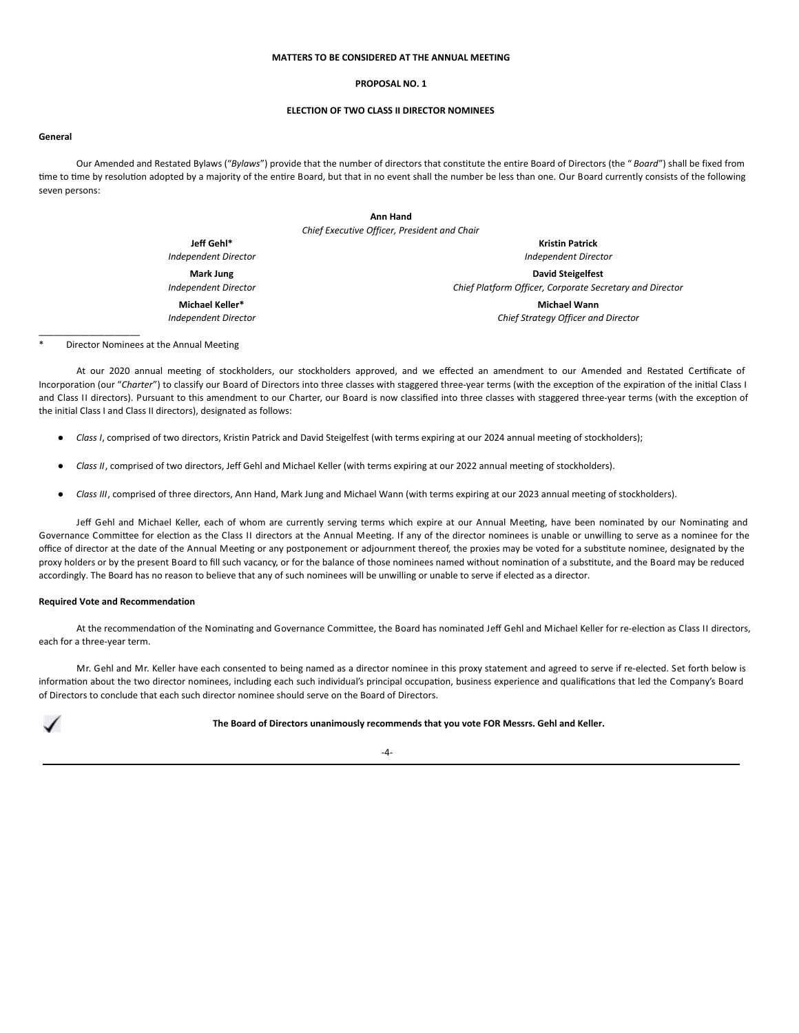## **MATTERS TO BE CONSIDERED AT THE ANNUAL MEETING**

## **PROPOSAL NO. 1**

# **ELECTION OF TWO CLASS II DIRECTOR NOMINEES**

#### **General**

Our Amended and Restated Bylaws ("*Bylaws*") provide that the number of directors that constitute the entire Board of Directors (the " *Board*") shall be fixed from time to time by resolution adopted by a majority of the entire Board, but that in no event shall the number be less than one. Our Board currently consists of the following seven persons:

| Ann Hand                                     |                             |
|----------------------------------------------|-----------------------------|
| Chief Executive Officer, President and Chair |                             |
| Jeff Gehl*                                   | <b>Kristin Patrick</b>      |
| Independent Director                         | <b>Independent Director</b> |
| Mark Jung                                    | <b>David Steigelfest</b>    |

*Independent Director* **Michael Keller\***

*Independent Director*

*Chief Platform Officer, Corporate Secretary and Director*

**Michael Wann** *Chief Strategy Officer and Director*

Director Nominees at the Annual Meeting

 $\overline{\phantom{a}}$  , where  $\overline{\phantom{a}}$  , where  $\overline{\phantom{a}}$ 

At our 2020 annual meeting of stockholders, our stockholders approved, and we effected an amendment to our Amended and Restated Certificate of Incorporation (our "Charter") to classify our Board of Directors into three classes with staggered three-year terms (with the exception of the expiration of the initial Class I and Class II directors). Pursuant to this amendment to our Charter, our Board is now classified into three classes with staggered three-year terms (with the exception of the initial Class I and Class II directors), designated as follows:

- *Class I*, comprised of two directors, Kristin Patrick and David Steigelfest (with terms expiring at our 2024 annual meeting of stockholders);
- *Class II*, comprised of two directors, Jeff Gehl and Michael Keller (with terms expiring at our 2022 annual meeting of stockholders).
- *Class III*, comprised of three directors, Ann Hand, Mark Jung and Michael Wann (with terms expiring at our 2023 annual meeting of stockholders).

Jeff Gehl and Michael Keller, each of whom are currently serving terms which expire at our Annual Meeting, have been nominated by our Nominating and Governance Committee for election as the Class II directors at the Annual Meeting. If any of the director nominees is unable or unwilling to serve as a nominee for the office of director at the date of the Annual Meeting or any postponement or adjournment thereof, the proxies may be voted for a substitute nominee, designated by the proxy holders or by the present Board to fill such vacancy, or for the balance of those nominees named without nomination of a substitute, and the Board may be reduced accordingly. The Board has no reason to believe that any of such nominees will be unwilling or unable to serve if elected as a director.

# **Required Vote and Recommendation**

At the recommendation of the Nominating and Governance Committee, the Board has nominated Jeff Gehl and Michael Keller for re-election as Class II directors, each for a three-year term.

Mr. Gehl and Mr. Keller have each consented to being named as a director nominee in this proxy statement and agreed to serve if re-elected. Set forth below is information about the two director nominees, including each such individual's principal occupation, business experience and qualifications that led the Company's Board of Directors to conclude that each such director nominee should serve on the Board of Directors.

**The Board of Directors unanimously recommends that you vote FOR Messrs. Gehl and Keller.**

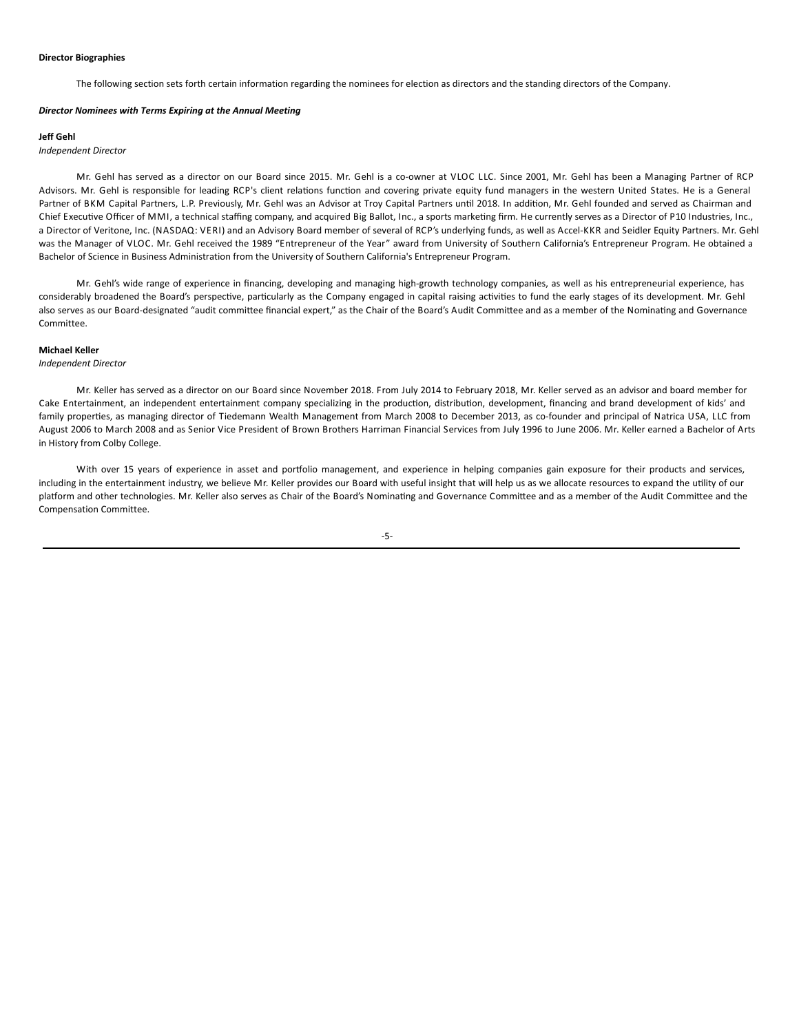## **Director Biographies**

The following section sets forth certain information regarding the nominees for election as directors and the standing directors of the Company.

#### *Director Nominees with Terms Expiring at the Annual Meeting*

### **Jeff Gehl**

## *Independent Director*

Mr. Gehl has served as a director on our Board since 2015. Mr. Gehl is a co-owner at VLOC LLC. Since 2001, Mr. Gehl has been a Managing Partner of RCP Advisors. Mr. Gehl is responsible for leading RCP's client relations function and covering private equity fund managers in the western United States. He is a General Partner of BKM Capital Partners, L.P. Previously, Mr. Gehl was an Advisor at Troy Capital Partners until 2018. In addition, Mr. Gehl founded and served as Chairman and Chief Executive Officer of MMI, a technical staffing company, and acquired Big Ballot, Inc., a sports marketing firm. He currently serves as a Director of P10 Industries, Inc., a Director of Veritone, Inc. (NASDAQ: VERI) and an Advisory Board member of several of RCP's underlying funds, as well as Accel-KKR and Seidler Equity Partners. Mr. Gehl was the Manager of VLOC. Mr. Gehl received the 1989 "Entrepreneur of the Year" award from University of Southern California's Entrepreneur Program. He obtained a Bachelor of Science in Business Administration from the University of Southern California's Entrepreneur Program.

Mr. Gehl's wide range of experience in financing, developing and managing high-growth technology companies, as well as his entrepreneurial experience, has considerably broadened the Board's perspective, particularly as the Company engaged in capital raising activities to fund the early stages of its development. Mr. Gehl also serves as our Board-designated "audit committee financial expert," as the Chair of the Board's Audit Committee and as a member of the Nominating and Governance Committee.

# **Michael Keller**

## *Independent Director*

Mr. Keller has served as a director on our Board since November 2018. From July 2014 to February 2018, Mr. Keller served as an advisor and board member for Cake Entertainment, an independent entertainment company specializing in the production, distribution, development, financing and brand development of kids' and family properties, as managing director of Tiedemann Wealth Management from March 2008 to December 2013, as co-founder and principal of Natrica USA, LLC from August 2006 to March 2008 and as Senior Vice President of Brown Brothers Harriman Financial Services from July 1996 to June 2006. Mr. Keller earned a Bachelor of Arts in History from Colby College.

With over 15 years of experience in asset and portfolio management, and experience in helping companies gain exposure for their products and services, including in the entertainment industry, we believe Mr. Keller provides our Board with useful insight that will help us as we allocate resources to expand the utility of our platform and other technologies. Mr. Keller also serves as Chair of the Board's Nominating and Governance Committee and as a member of the Audit Committee and the Compensation Committee.

## -5-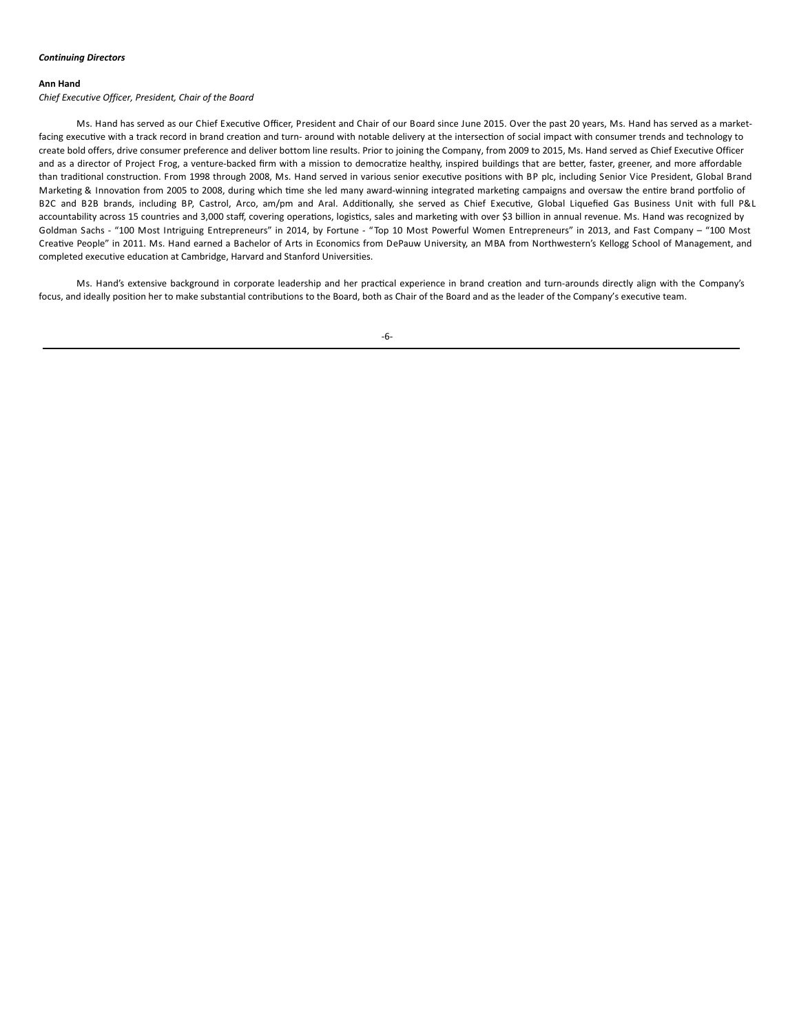## **Ann Hand**

## *Chief Executive Officer, President, Chair of the Board*

Ms. Hand has served as our Chief Executive Officer, President and Chair of our Board since June 2015. Over the past 20 years, Ms. Hand has served as a marketfacing executive with a track record in brand creation and turn- around with notable delivery at the intersection of social impact with consumer trends and technology to create bold offers, drive consumer preference and deliver bottom line results. Prior to joining the Company, from 2009 to 2015, Ms. Hand served as Chief Executive Officer and as a director of Project Frog, a venture-backed firm with a mission to democratize healthy, inspired buildings that are better, faster, greener, and more affordable than traditional construction. From 1998 through 2008, Ms. Hand served in various senior executive positions with BP plc, including Senior Vice President, Global Brand Marketing & Innovation from 2005 to 2008, during which time she led many award-winning integrated marketing campaigns and oversaw the entire brand portfolio of B2C and B2B brands, including BP, Castrol, Arco, am/pm and Aral. Additionally, she served as Chief Executive, Global Liquefied Gas Business Unit with full P&L accountability across 15 countries and 3,000 staff, covering operations, logistics, sales and marketing with over \$3 billion in annual revenue. Ms. Hand was recognized by Goldman Sachs - "100 Most Intriguing Entrepreneurs" in 2014, by Fortune - "Top 10 Most Powerful Women Entrepreneurs" in 2013, and Fast Company – "100 Most Creative People" in 2011. Ms. Hand earned a Bachelor of Arts in Economics from DePauw University, an MBA from Northwestern's Kellogg School of Management, and completed executive education at Cambridge, Harvard and Stanford Universities.

Ms. Hand's extensive background in corporate leadership and her practical experience in brand creation and turn-arounds directly align with the Company's focus, and ideally position her to make substantial contributions to the Board, both as Chair of the Board and as the leader of the Company's executive team.

-6-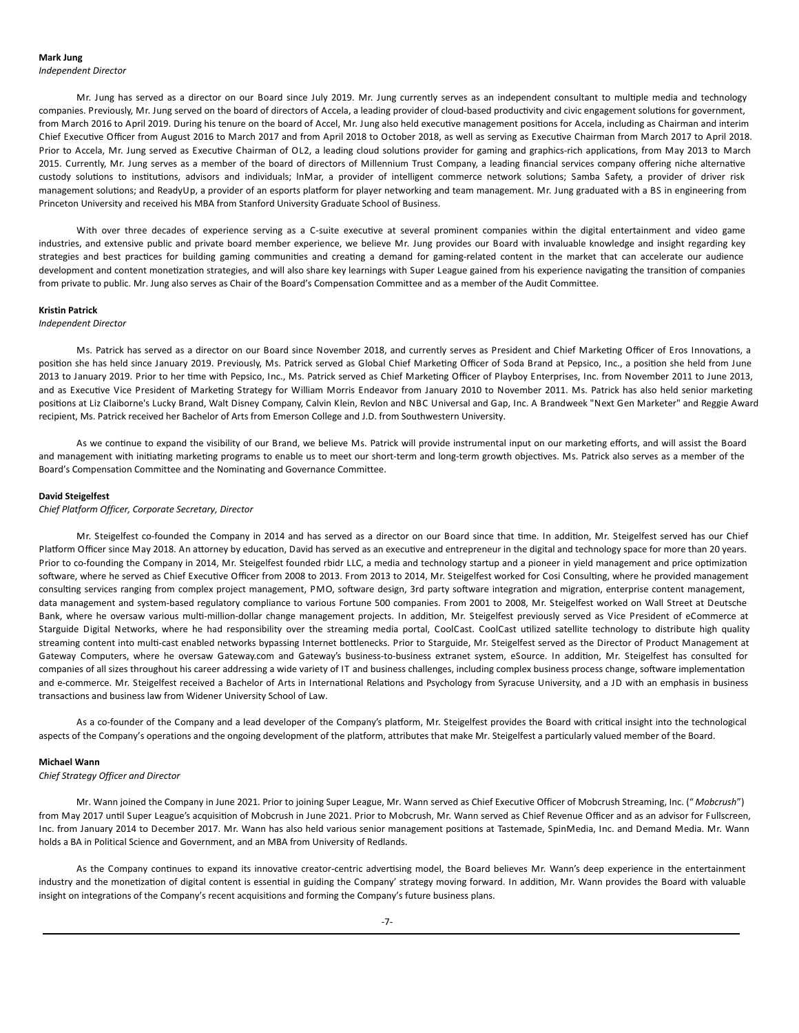## **Mark Jung**

*Independent Director*

Mr. Jung has served as a director on our Board since July 2019. Mr. Jung currently serves as an independent consultant to multiple media and technology companies. Previously, Mr. Jung served on the board of directors of Accela, a leading provider of cloud-based productivity and civic engagement solutions for government, from March 2016 to April 2019. During his tenure on the board of Accel, Mr. Jung also held executive management positions for Accela, including as Chairman and interim Chief Executive Officer from August 2016 to March 2017 and from April 2018 to October 2018, as well as serving as Executive Chairman from March 2017 to April 2018. Prior to Accela, Mr. Jung served as Executive Chairman of OL2, a leading cloud solutions provider for gaming and graphics-rich applications, from May 2013 to March 2015. Currently, Mr. Jung serves as a member of the board of directors of Millennium Trust Company, a leading financial services company offering niche alternative custody solutions to institutions, advisors and individuals; lnMar, a provider of intelligent commerce network solutions; Samba Safety, a provider of driver risk management solutions; and ReadyUp, a provider of an esports platform for player networking and team management. Mr. Jung graduated with a BS in engineering from Princeton University and received his MBA from Stanford University Graduate School of Business.

With over three decades of experience serving as a C-suite executive at several prominent companies within the digital entertainment and video game industries, and extensive public and private board member experience, we believe Mr. Jung provides our Board with invaluable knowledge and insight regarding key strategies and best practices for building gaming communities and creating a demand for gaming-related content in the market that can accelerate our audience development and content monetization strategies, and will also share key learnings with Super League gained from his experience navigating the transition of companies from private to public. Mr. Jung also serves as Chair of the Board's Compensation Committee and as a member of the Audit Committee.

### **Kristin Patrick**

## *Independent Director*

Ms. Patrick has served as a director on our Board since November 2018, and currently serves as President and Chief Marketing Officer of Eros Innovations, a position she has held since January 2019. Previously, Ms. Patrick served as Global Chief Marketing Officer of Soda Brand at Pepsico, Inc., a position she held from June 2013 to January 2019. Prior to her time with Pepsico, Inc., Ms. Patrick served as Chief Marketing Officer of Playboy Enterprises, Inc. from November 2011 to June 2013, and as Executive Vice President of Marketing Strategy for William Morris Endeavor from January 2010 to November 2011. Ms. Patrick has also held senior marketing positions at Liz Claiborne's Lucky Brand, Walt Disney Company, Calvin Klein, Revlon and NBC Universal and Gap, Inc. A Brandweek "Next Gen Marketer" and Reggie Award recipient, Ms. Patrick received her Bachelor of Arts from Emerson College and J.D. from Southwestern University.

As we continue to expand the visibility of our Brand, we believe Ms. Patrick will provide instrumental input on our marketing efforts, and will assist the Board and management with initiating marketing programs to enable us to meet our short-term and long-term growth objectives. Ms. Patrick also serves as a member of the Board's Compensation Committee and the Nominating and Governance Committee.

### **David Steigelfest**

*Chief Platform Officer, Corporate Secretary, Director*

Mr. Steigelfest co-founded the Company in 2014 and has served as a director on our Board since that time. In addition, Mr. Steigelfest served has our Chief Platform Officer since May 2018. An attorney by education, David has served as an executive and entrepreneur in the digital and technology space for more than 20 years. Prior to co-founding the Company in 2014, Mr. Steigelfest founded rbidr LLC, a media and technology startup and a pioneer in yield management and price optimization software, where he served as Chief Executive Officer from 2008 to 2013. From 2013 to 2014, Mr. Steigelfest worked for Cosi Consulting, where he provided management consulting services ranging from complex project management, PMO, software design, 3rd party software integration and migration, enterprise content management, data management and system-based regulatory compliance to various Fortune 500 companies. From 2001 to 2008, Mr. Steigelfest worked on Wall Street at Deutsche Bank, where he oversaw various multi-million-dollar change management projects. In addition, Mr. Steigelfest previously served as Vice President of eCommerce at Starguide Digital Networks, where he had responsibility over the streaming media portal, CoolCast. CoolCast utilized satellite technology to distribute high quality streaming content into multi-cast enabled networks bypassing Internet bottlenecks. Prior to Starguide, Mr. Steigelfest served as the Director of Product Management at Gateway Computers, where he oversaw Gateway.com and Gateway's business-to-business extranet system, eSource. In addition, Mr. Steigelfest has consulted for companies of all sizes throughout his career addressing a wide variety of IT and business challenges, including complex business process change, software implementation and e-commerce. Mr. Steigelfest received a Bachelor of Arts in International Relations and Psychology from Syracuse University, and a JD with an emphasis in business transactions and business law from Widener University School of Law.

As a co-founder of the Company and a lead developer of the Company's platform, Mr. Steigelfest provides the Board with critical insight into the technological aspects of the Company's operations and the ongoing development of the platform, attributes that make Mr. Steigelfest a particularly valued member of the Board.

#### **Michael Wann**

## *Chief Strategy Officer and Director*

Mr. Wann joined the Company in June 2021. Prior to joining Super League, Mr. Wann served as Chief Executive Officer of Mobcrush Streaming, Inc. (" *Mobcrush*") from May 2017 until Super League's acquisition of Mobcrush in June 2021. Prior to Mobcrush, Mr. Wann served as Chief Revenue Officer and as an advisor for Fullscreen, Inc. from January 2014 to December 2017. Mr. Wann has also held various senior management positions at Tastemade, SpinMedia, Inc. and Demand Media. Mr. Wann holds a BA in Political Science and Government, and an MBA from University of Redlands.

As the Company continues to expand its innovative creator-centric advertising model, the Board believes Mr. Wann's deep experience in the entertainment industry and the monetization of digital content is essential in guiding the Company' strategy moving forward. In addition, Mr. Wann provides the Board with valuable insight on integrations of the Company's recent acquisitions and forming the Company's future business plans.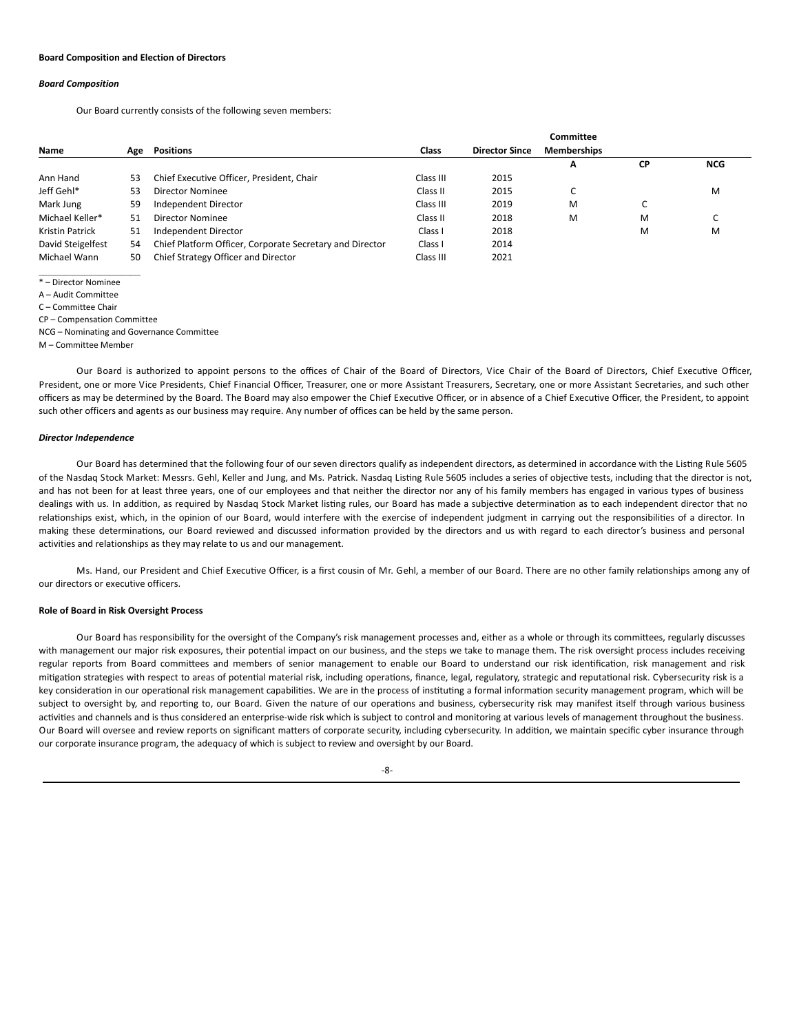### **Board Composition and Election of Directors**

## *Board Composition*

Our Board currently consists of the following seven members:

|                   |     |                                                          |           |                       | <b>Committee</b>   |           |            |
|-------------------|-----|----------------------------------------------------------|-----------|-----------------------|--------------------|-----------|------------|
| Name              | Age | <b>Positions</b>                                         | Class     | <b>Director Since</b> | <b>Memberships</b> |           |            |
|                   |     |                                                          |           |                       | Α                  | <b>CP</b> | <b>NCG</b> |
| Ann Hand          | 53  | Chief Executive Officer, President, Chair                | Class III | 2015                  |                    |           |            |
| Jeff Gehl*        | 53  | Director Nominee                                         | Class II  | 2015                  | C                  |           | M          |
| Mark Jung         | 59  | Independent Director                                     | Class III | 2019                  | M                  | U         |            |
| Michael Keller*   | 51  | Director Nominee                                         | Class II  | 2018                  | M                  | M         | U          |
| Kristin Patrick   | 51  | Independent Director                                     | Class I   | 2018                  |                    | M         | M          |
| David Steigelfest | 54  | Chief Platform Officer, Corporate Secretary and Director | Class I   | 2014                  |                    |           |            |
| Michael Wann      | 50  | Chief Strategy Officer and Director                      | Class III | 2021                  |                    |           |            |

\* – Director Nominee

A – Audit Committee

C – Committee Chair

CP – Compensation Committee

NCG – Nominating and Governance Committee

M – Committee Member

Our Board is authorized to appoint persons to the offices of Chair of the Board of Directors, Vice Chair of the Board of Directors, Chief Executive Officer, President, one or more Vice Presidents, Chief Financial Officer, Treasurer, one or more Assistant Treasurers, Secretary, one or more Assistant Secretaries, and such other officers as may be determined by the Board. The Board may also empower the Chief Executive Officer, or in absence of a Chief Executive Officer, the President, to appoint such other officers and agents as our business may require. Any number of offices can be held by the same person.

## *Director Independence*

Our Board has determined that the following four of our seven directors qualify as independent directors, as determined in accordance with the Listing Rule 5605 of the Nasdaq Stock Market: Messrs. Gehl, Keller and Jung, and Ms. Patrick. Nasdaq Listing Rule 5605 includes a series of objective tests, including that the director is not, and has not been for at least three years, one of our employees and that neither the director nor any of his family members has engaged in various types of business dealings with us. In addition, as required by Nasdaq Stock Market listing rules, our Board has made a subjective determination as to each independent director that no relationships exist, which, in the opinion of our Board, would interfere with the exercise of independent judgment in carrying out the responsibilities of a director. In making these determinations, our Board reviewed and discussed information provided by the directors and us with regard to each director's business and personal activities and relationships as they may relate to us and our management.

Ms. Hand, our President and Chief Executive Officer, is a first cousin of Mr. Gehl, a member of our Board. There are no other family relationships among any of our directors or executive officers.

### **Role of Board in Risk Oversight Process**

Our Board has responsibility for the oversight of the Company's risk management processes and, either as a whole or through its committees, regularly discusses with management our major risk exposures, their potential impact on our business, and the steps we take to manage them. The risk oversight process includes receiving regular reports from Board committees and members of senior management to enable our Board to understand our risk identification, risk management and risk mitigation strategies with respect to areas of potential material risk, including operations, finance, legal, regulatory, strategic and reputational risk. Cybersecurity risk is a key consideration in our operational risk management capabilities. We are in the process of instituting a formal information security management program, which will be subject to oversight by, and reporting to, our Board. Given the nature of our operations and business, cybersecurity risk may manifest itself through various business activities and channels and is thus considered an enterprise-wide risk which is subject to control and monitoring at various levels of management throughout the business. Our Board will oversee and review reports on significant matters of corporate security, including cybersecurity. In addition, we maintain specific cyber insurance through our corporate insurance program, the adequacy of which is subject to review and oversight by our Board.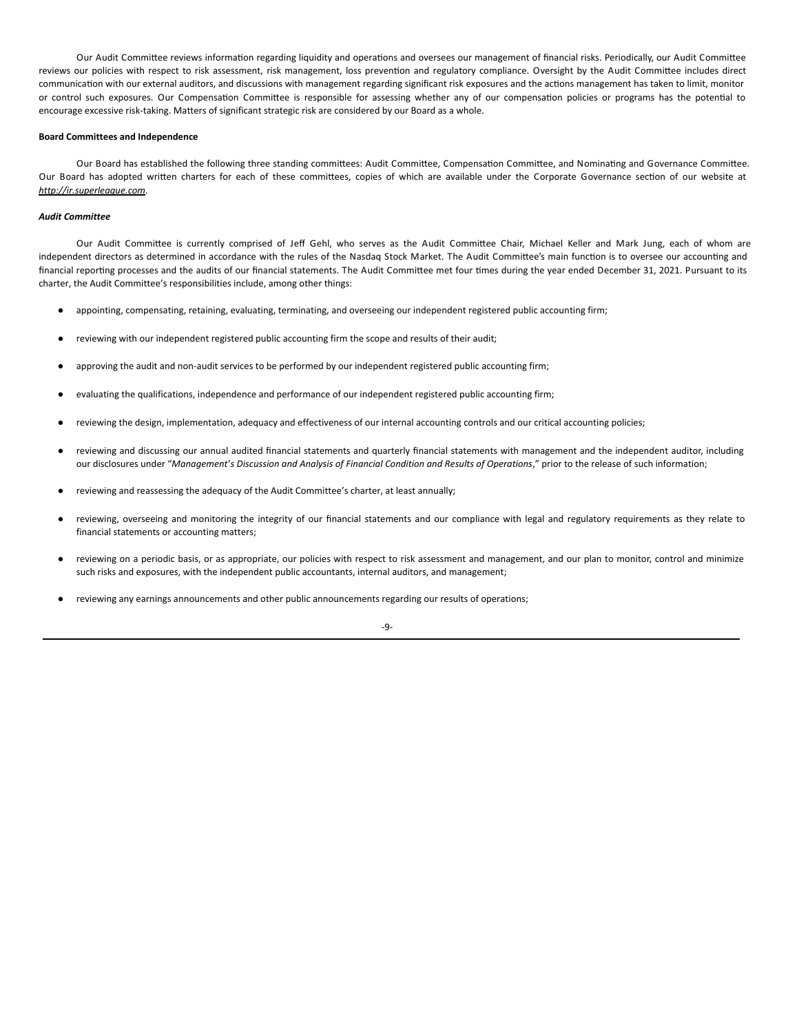Our Audit Committee reviews information regarding liquidity and operations and oversees our management of financial risks. Periodically, our Audit Committee reviews our policies with respect to risk assessment, risk management, loss prevention and regulatory compliance. Oversight by the Audit Committee includes direct communication with our external auditors, and discussions with management regarding significant risk exposures and the actions management has taken to limit, monitor or control such exposures. Our Compensation Committee is responsible for assessing whether any of our compensation policies or programs has the potential to encourage excessive risk-taking. Matters of significant strategic risk are considered by our Board as a whole.

## **Board Committees and Independence**

Our Board has established the following three standing committees: Audit Committee, Compensation Committee, and Nominating and Governance Committee. Our Board has adopted written charters for each of these committees, copies of which are available under the Corporate Governance section of our website at *http://ir.superleague.com*.

# *Audit Committee*

Our Audit Committee is currently comprised of Jeff Gehl, who serves as the Audit Committee Chair, Michael Keller and Mark Jung, each of whom are independent directors as determined in accordance with the rules of the Nasdaq Stock Market. The Audit Committee's main function is to oversee our accounting and financial reporting processes and the audits of our financial statements. The Audit Committee met four times during the year ended December 31, 2021. Pursuant to its charter, the Audit Committee's responsibilities include, among other things:

- appointing, compensating, retaining, evaluating, terminating, and overseeing our independent registered public accounting firm;
- reviewing with our independent registered public accounting firm the scope and results of their audit;
- approving the audit and non-audit services to be performed by our independent registered public accounting firm;
- evaluating the qualifications, independence and performance of our independent registered public accounting firm;
- reviewing the design, implementation, adequacy and effectiveness of our internal accounting controls and our critical accounting policies;
- reviewing and discussing our annual audited financial statements and quarterly financial statements with management and the independent auditor, including our disclosures under "Management's Discussion and Analysis of Financial Condition and Results of Operations," prior to the release of such information;
- reviewing and reassessing the adequacy of the Audit Committee's charter, at least annually;
- reviewing, overseeing and monitoring the integrity of our financial statements and our compliance with legal and regulatory requirements as they relate to financial statements or accounting matters;
- reviewing on a periodic basis, or as appropriate, our policies with respect to risk assessment and management, and our plan to monitor, control and minimize such risks and exposures, with the independent public accountants, internal auditors, and management;
- reviewing any earnings announcements and other public announcements regarding our results of operations;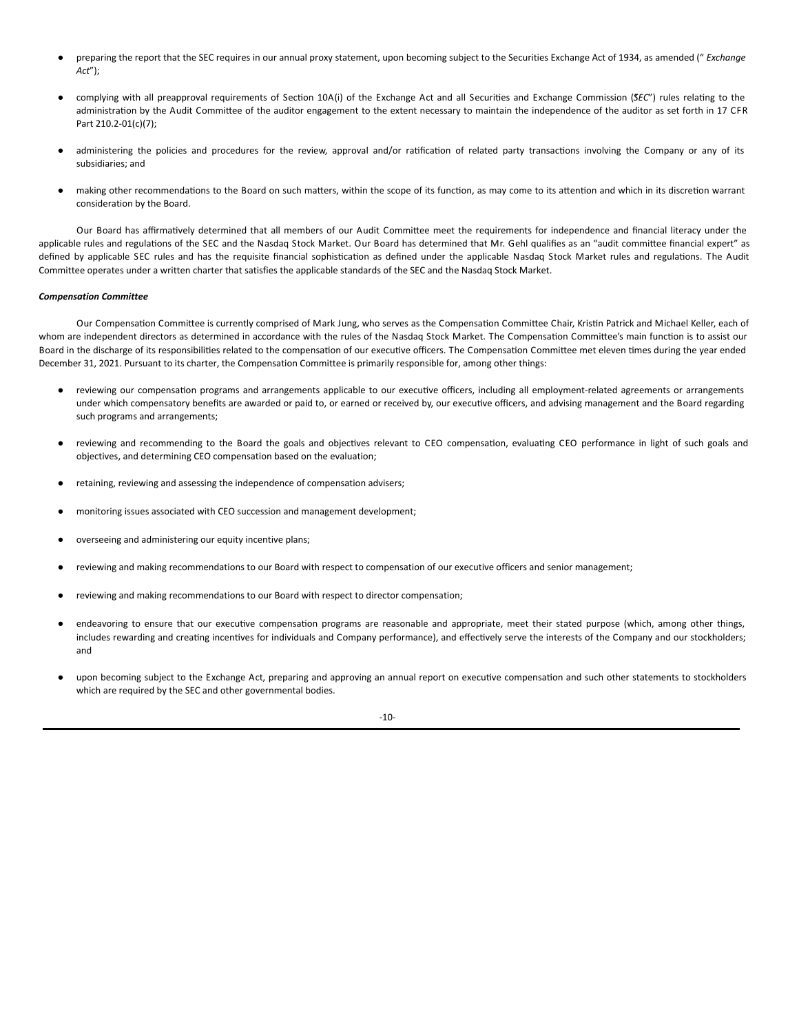- preparing the report that the SEC requires in our annual proxy statement, upon becoming subject to the Securities Exchange Act of 1934, as amended (" *Exchange Act*");
- complying with all preapproval requirements of Section 10A(i) of the Exchange Act and all Securities and Exchange Commission (*SEC*") rules relating to the administration by the Audit Committee of the auditor engagement to the extent necessary to maintain the independence of the auditor as set forth in 17 CFR Part 210.2-01(c)(7);
- administering the policies and procedures for the review, approval and/or ratification of related party transactions involving the Company or any of its subsidiaries; and
- making other recommendations to the Board on such matters, within the scope of its function, as may come to its attention and which in its discretion warrant consideration by the Board.

Our Board has affirmatively determined that all members of our Audit Committee meet the requirements for independence and financial literacy under the applicable rules and regulations of the SEC and the Nasdaq Stock Market. Our Board has determined that Mr. Gehl qualifies as an "audit committee financial expert" as defined by applicable SEC rules and has the requisite financial sophistication as defined under the applicable Nasdaq Stock Market rules and regulations. The Audit Committee operates under a written charter that satisfies the applicable standards of the SEC and the Nasdaq Stock Market.

# *Compensation Committee*

Our Compensation Committee is currently comprised of Mark Jung, who serves as the Compensation Committee Chair, Kristin Patrick and Michael Keller, each of whom are independent directors as determined in accordance with the rules of the Nasdaq Stock Market. The Compensation Committee's main function is to assist our Board in the discharge of its responsibilities related to the compensation of our executive officers. The Compensation Committee met eleven times during the year ended December 31, 2021. Pursuant to its charter, the Compensation Committee is primarily responsible for, among other things:

- reviewing our compensation programs and arrangements applicable to our executive officers, including all employment-related agreements or arrangements under which compensatory benefits are awarded or paid to, or earned or received by, our executive officers, and advising management and the Board regarding such programs and arrangements;
- reviewing and recommending to the Board the goals and objectives relevant to CEO compensation, evaluating CEO performance in light of such goals and objectives, and determining CEO compensation based on the evaluation;
- retaining, reviewing and assessing the independence of compensation advisers;
- monitoring issues associated with CEO succession and management development;
- overseeing and administering our equity incentive plans;
- reviewing and making recommendations to our Board with respect to compensation of our executive officers and senior management;
- reviewing and making recommendations to our Board with respect to director compensation;
- endeavoring to ensure that our executive compensation programs are reasonable and appropriate, meet their stated purpose (which, among other things, includes rewarding and creating incentives for individuals and Company performance), and effectively serve the interests of the Company and our stockholders; and
- upon becoming subject to the Exchange Act, preparing and approving an annual report on executive compensation and such other statements to stockholders which are required by the SEC and other governmental bodies.

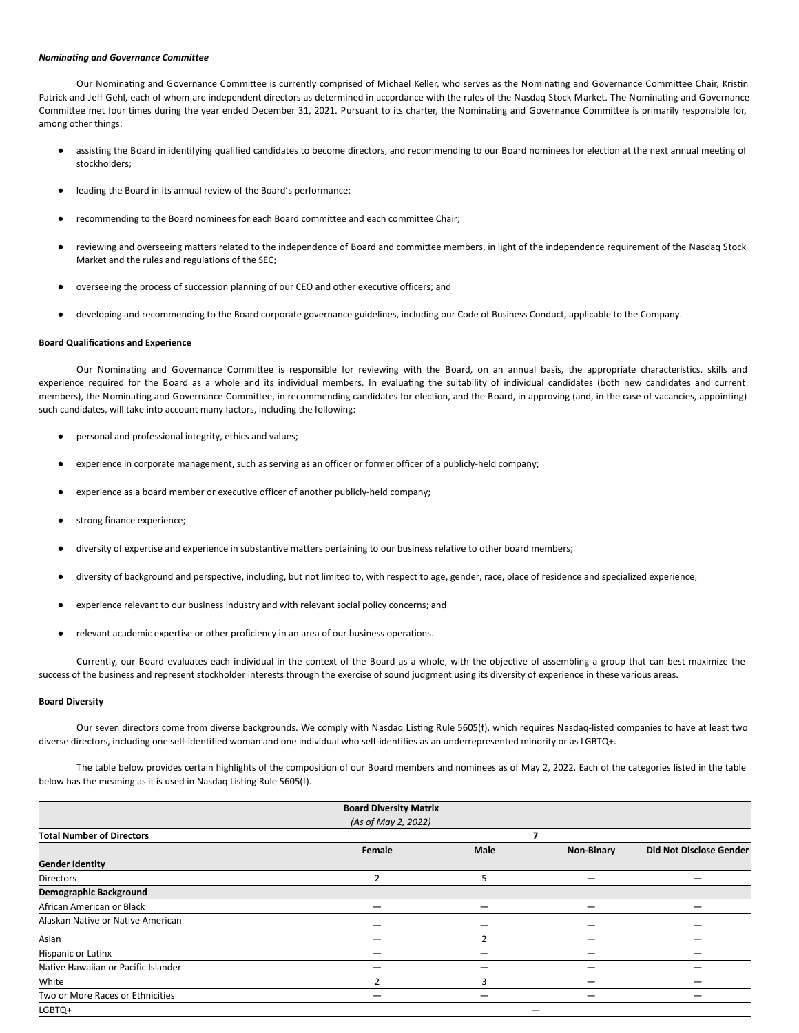### *Nominating and Governance Committee*

Our Nominating and Governance Committee is currently comprised of Michael Keller, who serves as the Nominating and Governance Committee Chair, Kristin Patrick and Jeff Gehl, each of whom are independent directors as determined in accordance with the rules of the Nasdaq Stock Market. The Nominating and Governance Committee met four times during the year ended December 31, 2021. Pursuant to its charter, the Nominating and Governance Committee is primarily responsible for, among other things:

- assisting the Board in identifying qualified candidates to become directors, and recommending to our Board nominees for election at the next annual meeting of stockholders;
- leading the Board in its annual review of the Board's performance;
- recommending to the Board nominees for each Board committee and each committee Chair;
- reviewing and overseeing matters related to the independence of Board and committee members, in light of the independence requirement of the Nasdaq Stock Market and the rules and regulations of the SEC;
- overseeing the process of succession planning of our CEO and other executive officers; and
- developing and recommending to the Board corporate governance guidelines, including our Code of Business Conduct, applicable to the Company.

## **Board Qualifications and Experience**

Our Nominating and Governance Committee is responsible for reviewing with the Board, on an annual basis, the appropriate characteristics, skills and experience required for the Board as a whole and its individual members. In evaluating the suitability of individual candidates (both new candidates and current members), the Nominating and Governance Committee, in recommending candidates for election, and the Board, in approving (and, in the case of vacancies, appointing) such candidates, will take into account many factors, including the following:

- personal and professional integrity, ethics and values;
- experience in corporate management, such as serving as an officer or former officer of a publicly-held company;
- experience as a board member or executive officer of another publicly-held company;
- strong finance experience;
- diversity of expertise and experience in substantive matters pertaining to our business relative to other board members;
- diversity of background and perspective, including, but not limited to, with respect to age, gender, race, place of residence and specialized experience;
- experience relevant to our business industry and with relevant social policy concerns; and
- relevant academic expertise or other proficiency in an area of our business operations.

Currently, our Board evaluates each individual in the context of the Board as a whole, with the objective of assembling a group that can best maximize the success of the business and represent stockholder interests through the exercise of sound judgment using its diversity of experience in these various areas.

# **Board Diversity**

Our seven directors come from diverse backgrounds. We comply with Nasdaq Listing Rule 5605(f), which requires Nasdaq-listed companies to have at least two diverse directors, including one self-identified woman and one individual who self-identifies as an underrepresented minority or as LGBTQ+.

The table below provides certain highlights of the composition of our Board members and nominees as of May 2, 2022. Each of the categories listed in the table below has the meaning as it is used in Nasdaq Listing Rule 5605(f).

|                                     | <b>Board Diversity Matrix</b> |      |                   |                                |
|-------------------------------------|-------------------------------|------|-------------------|--------------------------------|
|                                     | (As of May 2, 2022)           |      |                   |                                |
| <b>Total Number of Directors</b>    |                               |      |                   |                                |
|                                     | Female                        | Male | <b>Non-Binary</b> | <b>Did Not Disclose Gender</b> |
| <b>Gender Identity</b>              |                               |      |                   |                                |
| <b>Directors</b>                    |                               | 5    |                   |                                |
| <b>Demographic Background</b>       |                               |      |                   |                                |
| African American or Black           | –                             | –    |                   |                                |
| Alaskan Native or Native American   |                               |      |                   |                                |
| Asian                               |                               |      |                   |                                |
| Hispanic or Latinx                  |                               |      |                   |                                |
| Native Hawaiian or Pacific Islander |                               |      |                   |                                |
| White                               |                               | з    |                   |                                |
| Two or More Races or Ethnicities    |                               |      |                   |                                |
| LGBTQ+                              |                               |      |                   |                                |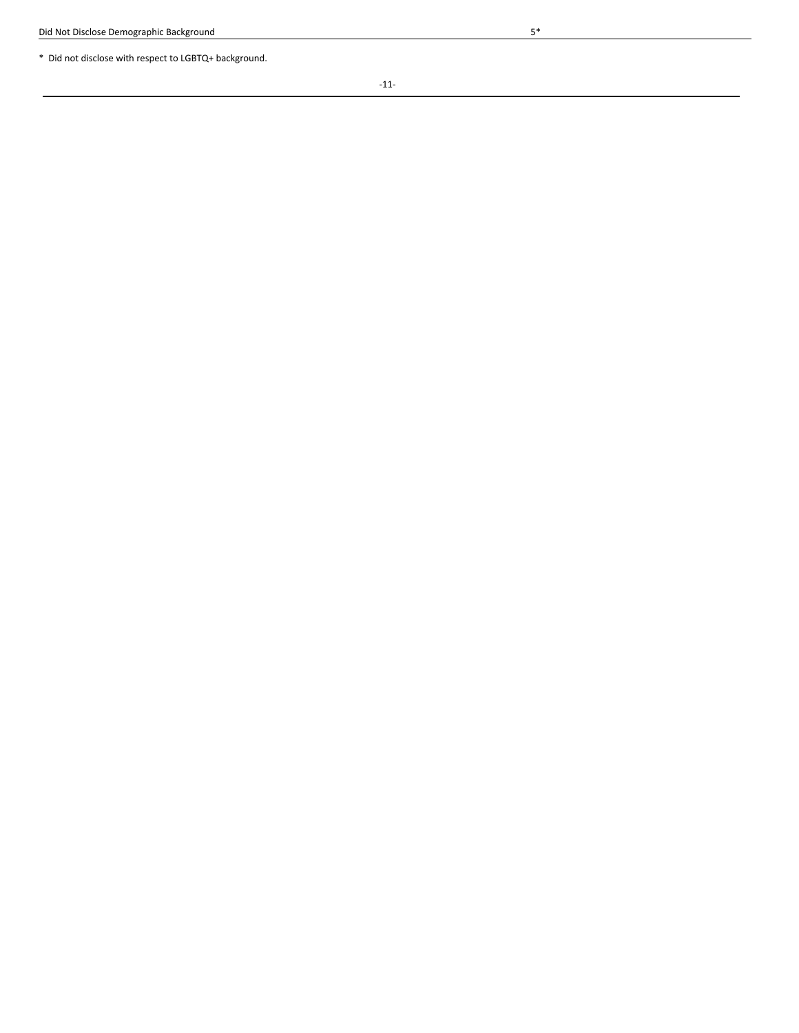\* Did not disclose with respect to LGBTQ+ background.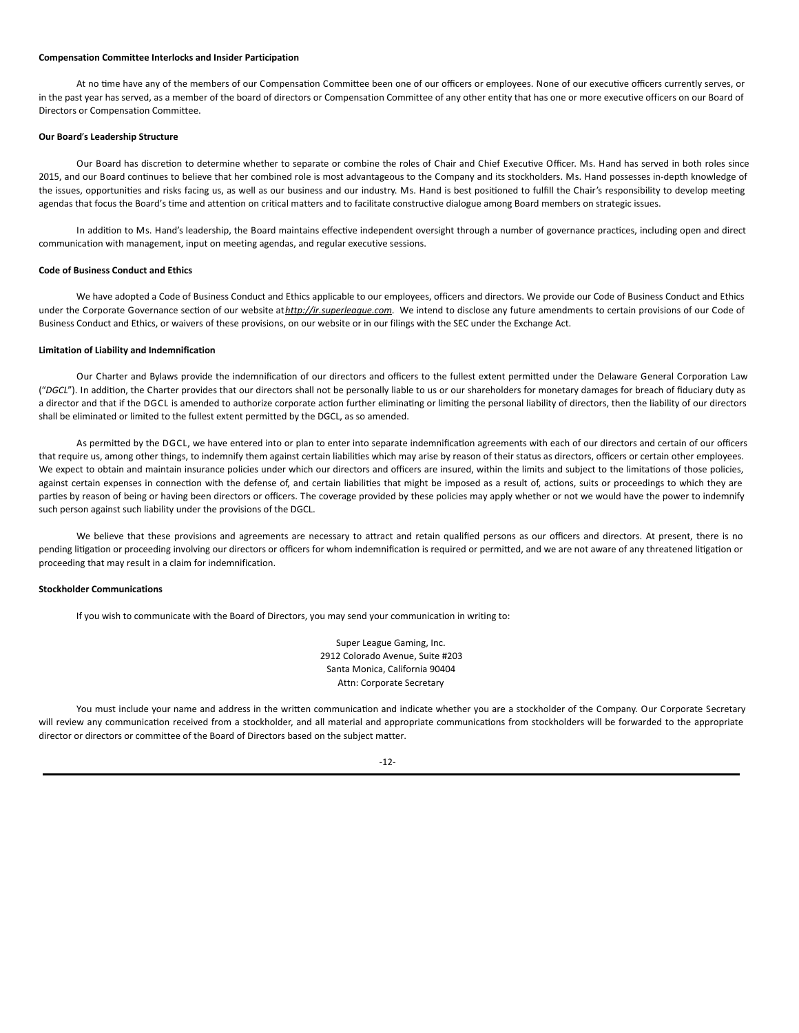### **Compensation Committee Interlocks and Insider Participation**

At no time have any of the members of our Compensation Committee been one of our officers or employees. None of our executive officers currently serves, or in the past year has served, as a member of the board of directors or Compensation Committee of any other entity that has one or more executive officers on our Board of Directors or Compensation Committee.

## **Our Board**'**s Leadership Structure**

Our Board has discretion to determine whether to separate or combine the roles of Chair and Chief Executive Officer. Ms. Hand has served in both roles since 2015, and our Board continues to believe that her combined role is most advantageous to the Company and its stockholders. Ms. Hand possesses in-depth knowledge of the issues, opportunities and risks facing us, as well as our business and our industry. Ms. Hand is best positioned to fulfill the Chair's responsibility to develop meeting agendas that focus the Board's time and attention on critical matters and to facilitate constructive dialogue among Board members on strategic issues.

In addition to Ms. Hand's leadership, the Board maintains effective independent oversight through a number of governance practices, including open and direct communication with management, input on meeting agendas, and regular executive sessions.

## **Code of Business Conduct and Ethics**

We have adopted a Code of Business Conduct and Ethics applicable to our employees, officers and directors. We provide our Code of Business Conduct and Ethics under the Corporate Governance section of our website athttp://ir.superleague.com. We intend to disclose any future amendments to certain provisions of our Code of Business Conduct and Ethics, or waivers of these provisions, on our website or in our filings with the SEC under the Exchange Act.

# **Limitation of Liability and Indemnification**

Our Charter and Bylaws provide the indemnification of our directors and officers to the fullest extent permitted under the Delaware General Corporation Law ("DGCL"). In addition, the Charter provides that our directors shall not be personally liable to us or our shareholders for monetary damages for breach of fiduciary duty as a director and that if the DGCL is amended to authorize corporate action further eliminating or limiting the personal liability of directors, then the liability of our directors shall be eliminated or limited to the fullest extent permitted by the DGCL, as so amended.

As permitted by the DGCL, we have entered into or plan to enter into separate indemnification agreements with each of our directors and certain of our officers that require us, among other things, to indemnify them against certain liabilities which may arise by reason of their status as directors, officers or certain other employees. We expect to obtain and maintain insurance policies under which our directors and officers are insured, within the limits and subject to the limitations of those policies, against certain expenses in connection with the defense of, and certain liabilities that might be imposed as a result of, actions, suits or proceedings to which they are parties by reason of being or having been directors or officers. The coverage provided by these policies may apply whether or not we would have the power to indemnify such person against such liability under the provisions of the DGCL.

We believe that these provisions and agreements are necessary to attract and retain qualified persons as our officers and directors. At present, there is no pending litigation or proceeding involving our directors or officers for whom indemnification is required or permitted, and we are not aware of any threatened litigation or proceeding that may result in a claim for indemnification.

# **Stockholder Communications**

If you wish to communicate with the Board of Directors, you may send your communication in writing to:

Super League Gaming, Inc. 2912 Colorado Avenue, Suite #203 Santa Monica, California 90404 Attn: Corporate Secretary

You must include your name and address in the written communication and indicate whether you are a stockholder of the Company. Our Corporate Secretary will review any communication received from a stockholder, and all material and appropriate communications from stockholders will be forwarded to the appropriate director or directors or committee of the Board of Directors based on the subject matter.

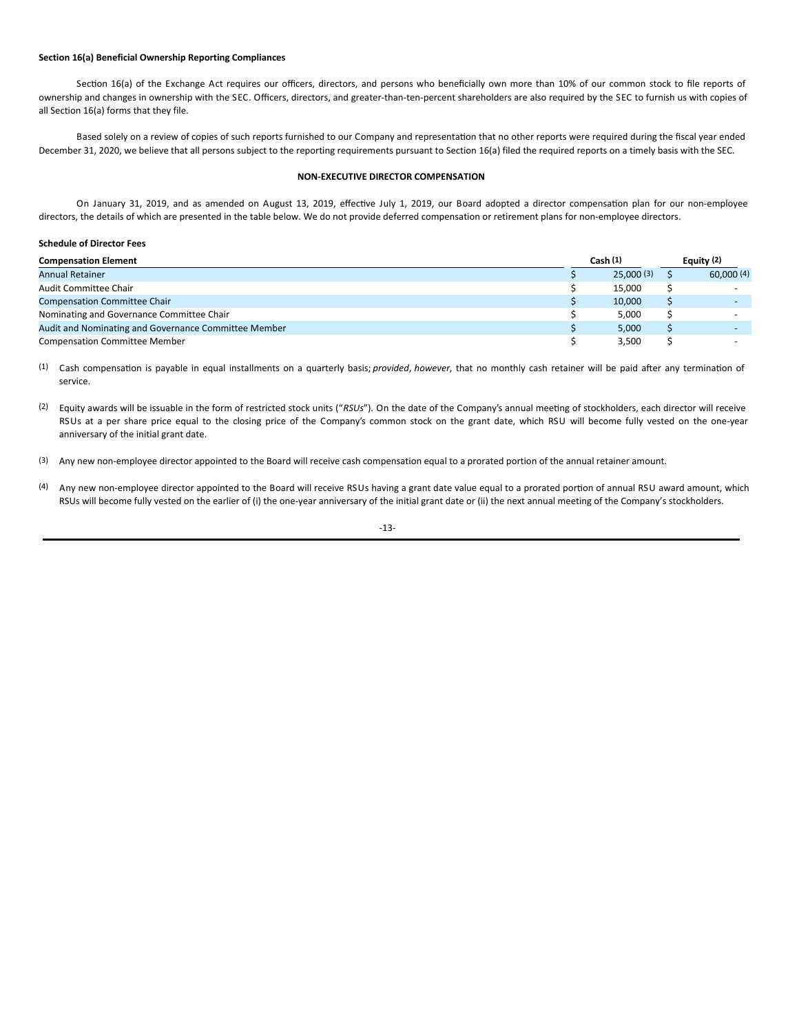## **Section 16(a) Beneficial Ownership Reporting Compliances**

Section 16(a) of the Exchange Act requires our officers, directors, and persons who beneficially own more than 10% of our common stock to file reports of ownership and changes in ownership with the SEC. Officers, directors, and greater-than-ten-percent shareholders are also required by the SEC to furnish us with copies of all Section 16(a) forms that they file.

Based solely on a review of copies of such reports furnished to our Company and representation that no other reports were required during the fiscal year ended December 31, 2020, we believe that all persons subject to the reporting requirements pursuant to Section 16(a) filed the required reports on a timely basis with the SEC.

# **NON-EXECUTIVE DIRECTOR COMPENSATION**

On January 31, 2019, and as amended on August 13, 2019, effective July 1, 2019, our Board adopted a director compensation plan for our non-employee directors, the details of which are presented in the table below. We do not provide deferred compensation or retirement plans for non-employee directors.

# **Schedule of Director Fees**

| <b>Compensation Element</b>                          |  |           | Equity $(2)$ |           |  |
|------------------------------------------------------|--|-----------|--------------|-----------|--|
| <b>Annual Retainer</b>                               |  | 25.000(3) |              | 60,000(4) |  |
| <b>Audit Committee Chair</b>                         |  | 15.000    |              |           |  |
| <b>Compensation Committee Chair</b>                  |  | 10.000    |              |           |  |
| Nominating and Governance Committee Chair            |  | 5.000     |              |           |  |
| Audit and Nominating and Governance Committee Member |  | 5.000     |              |           |  |
| <b>Compensation Committee Member</b>                 |  | 3.500     |              |           |  |

(1) Cash compensation is payable in equal installments on a quarterly basis; *provided*, *however*, that no monthly cash retainer will be paid after any termination of service.

(2) Equity awards will be issuable in the form of restricted stock units ("RSUs"). On the date of the Company's annual meeting of stockholders, each director will receive RSUs at a per share price equal to the closing price of the Company's common stock on the grant date, which RSU will become fully vested on the one-year anniversary of the initial grant date.

(3) Any new non-employee director appointed to the Board will receive cash compensation equal to a prorated portion of the annual retainer amount.

(4) Any new non-employee director appointed to the Board will receive RSUs having a grant date value equal to a prorated portion of annual RSU award amount, which RSUs will become fully vested on the earlier of (i) the one-year anniversary of the initial grant date or (ii) the next annual meeting of the Company's stockholders.

-13-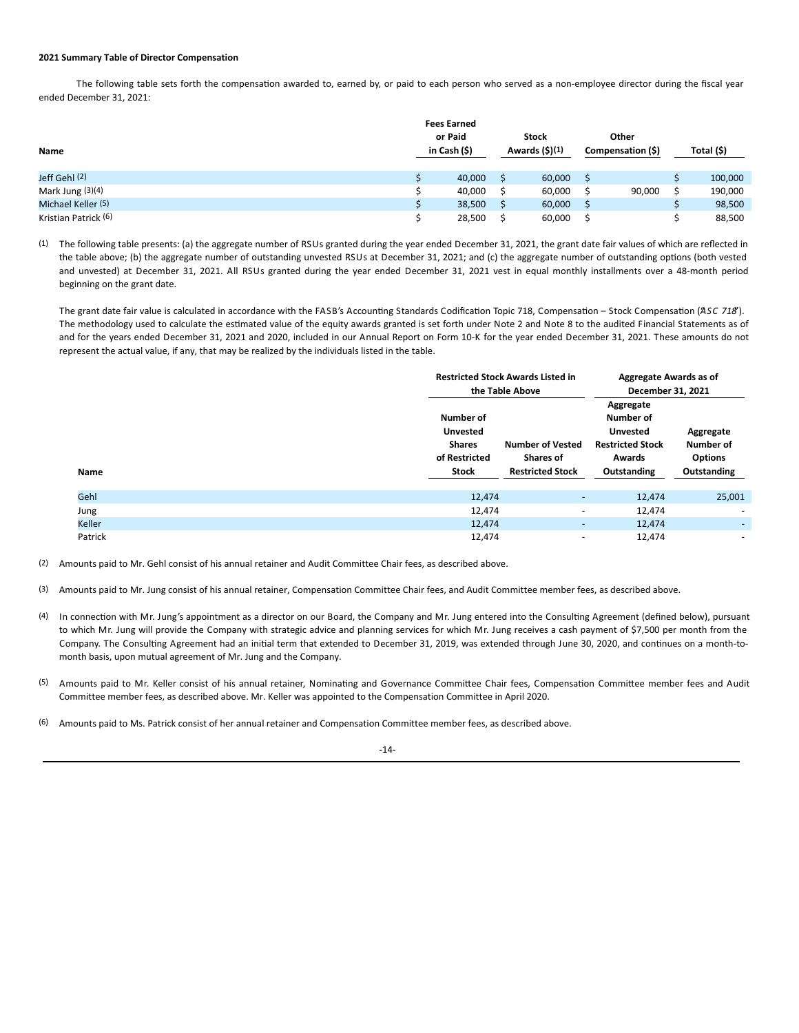## **2021 Summary Table of Director Compensation**

The following table sets forth the compensation awarded to, earned by, or paid to each person who served as a non-employee director during the fiscal year ended December 31, 2021:

| Name                 | <b>Fees Earned</b><br>or Paid<br>in Cash (\$) | <b>Stock</b><br>Awards $(5)(1)$ | Other<br>Compensation (\$) | Total (\$) |
|----------------------|-----------------------------------------------|---------------------------------|----------------------------|------------|
| Jeff Gehl (2)        | 40,000                                        | 60,000                          |                            | 100,000    |
| Mark Jung (3)(4)     | 40,000                                        | 60,000                          | 90,000                     | 190,000    |
| Michael Keller (5)   | 38,500                                        | 60,000                          |                            | 98,500     |
| Kristian Patrick (6) | 28,500                                        | 60,000                          |                            | 88,500     |

(1) The following table presents: (a) the aggregate number of RSUs granted during the year ended December 31, 2021, the grant date fair values of which are reflected in the table above; (b) the aggregate number of outstanding unvested RSUs at December 31, 2021; and (c) the aggregate number of outstanding options (both vested and unvested) at December 31, 2021. All RSUs granted during the year ended December 31, 2021 vest in equal monthly installments over a 48-month period beginning on the grant date.

The grant date fair value is calculated in accordance with the FASB's Accounting Standards Codification Topic 718, Compensation – Stock Compensation (ASC 718'). The methodology used to calculate the estimated value of the equity awards granted is set forth under Note 2 and Note 8 to the audited Financial Statements as of and for the years ended December 31, 2021 and 2020, included in our Annual Report on Form 10-K for the year ended December 31, 2021. These amounts do not represent the actual value, if any, that may be realized by the individuals listed in the table.

|         |                                                                         | <b>Restricted Stock Awards Listed in</b><br>the Table Above            |                                                                                               | Aggregate Awards as of<br>December 31, 2021             |  |
|---------|-------------------------------------------------------------------------|------------------------------------------------------------------------|-----------------------------------------------------------------------------------------------|---------------------------------------------------------|--|
| Name    | Number of<br><b>Unvested</b><br><b>Shares</b><br>of Restricted<br>Stock | <b>Number of Vested</b><br><b>Shares of</b><br><b>Restricted Stock</b> | Aggregate<br>Number of<br><b>Unvested</b><br><b>Restricted Stock</b><br>Awards<br>Outstanding | Aggregate<br>Number of<br><b>Options</b><br>Outstanding |  |
| Gehl    | 12,474                                                                  | $\overline{\phantom{a}}$                                               | 12,474                                                                                        | 25,001                                                  |  |
| Jung    | 12,474                                                                  | $\sim$                                                                 | 12,474                                                                                        | ٠                                                       |  |
| Keller  | 12,474                                                                  | ٠                                                                      | 12,474                                                                                        | ۰.                                                      |  |
| Patrick | 12,474                                                                  | ٠                                                                      | 12,474                                                                                        | ۰                                                       |  |

(2) Amounts paid to Mr. Gehl consist of his annual retainer and Audit Committee Chair fees, as described above.

- (3) Amounts paid to Mr. Jung consist of his annual retainer, Compensation Committee Chair fees, and Audit Committee member fees, as described above.
- (4) In connection with Mr. Jung's appointment as a director on our Board, the Company and Mr. Jung entered into the Consulting Agreement (defined below), pursuant to which Mr. Jung will provide the Company with strategic advice and planning services for which Mr. Jung receives a cash payment of \$7,500 per month from the Company. The Consulting Agreement had an initial term that extended to December 31, 2019, was extended through June 30, 2020, and continues on a month-tomonth basis, upon mutual agreement of Mr. Jung and the Company.
- (5) Amounts paid to Mr. Keller consist of his annual retainer, Nominating and Governance Committee Chair fees, Compensation Committee member fees and Audit Committee member fees, as described above. Mr. Keller was appointed to the Compensation Committee in April 2020.
- (6) Amounts paid to Ms. Patrick consist of her annual retainer and Compensation Committee member fees, as described above.

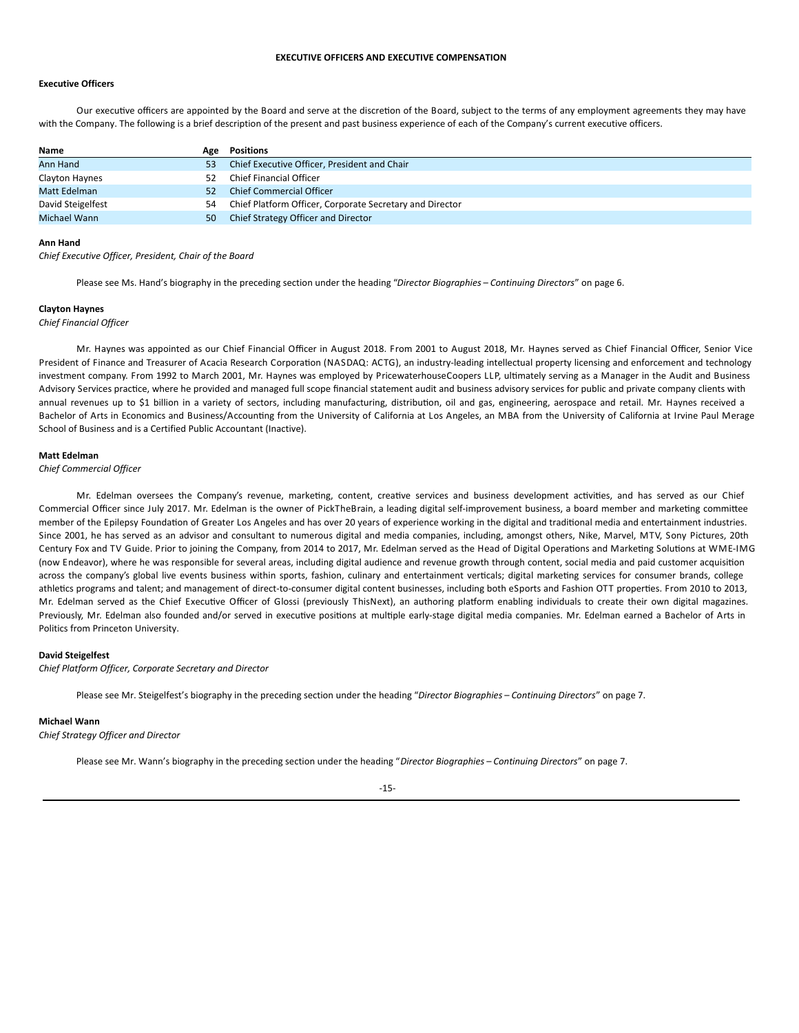# **EXECUTIVE OFFICERS AND EXECUTIVE COMPENSATION**

# **Executive Officers**

Our executive officers are appointed by the Board and serve at the discretion of the Board, subject to the terms of any employment agreements they may have with the Company. The following is a brief description of the present and past business experience of each of the Company's current executive officers.

| Name              | Age | Positions                                                |
|-------------------|-----|----------------------------------------------------------|
| Ann Hand          | 53  | Chief Executive Officer, President and Chair             |
| Clayton Haynes    | 52  | <b>Chief Financial Officer</b>                           |
| Matt Edelman      | 52  | <b>Chief Commercial Officer</b>                          |
| David Steigelfest | 54  | Chief Platform Officer, Corporate Secretary and Director |
| Michael Wann      | 50  | Chief Strategy Officer and Director                      |

#### **Ann Hand**

*Chief Executive Officer, President, Chair of the Board*

Please see Ms. Hand's biography in the preceding section under the heading "*Director Biographies* – *Continuing Directors*" on page 6.

## **Clayton Haynes**

*Chief Financial Officer*

Mr. Haynes was appointed as our Chief Financial Officer in August 2018. From 2001 to August 2018, Mr. Haynes served as Chief Financial Officer, Senior Vice President of Finance and Treasurer of Acacia Research Corporation (NASDAQ: ACTG), an industry-leading intellectual property licensing and enforcement and technology investment company. From 1992 to March 2001, Mr. Haynes was employed by PricewaterhouseCoopers LLP, ultimately serving as a Manager in the Audit and Business Advisory Services practice, where he provided and managed full scope financial statement audit and business advisory services for public and private company clients with annual revenues up to \$1 billion in a variety of sectors, including manufacturing, distribution, oil and gas, engineering, aerospace and retail. Mr. Haynes received a Bachelor of Arts in Economics and Business/Accounting from the University of California at Los Angeles, an MBA from the University of California at Irvine Paul Merage School of Business and is a Certified Public Accountant (Inactive).

### **Matt Edelman**

*Chief Commercial Officer*

Mr. Edelman oversees the Company's revenue, marketing, content, creative services and business development activities, and has served as our Chief Commercial Officer since July 2017. Mr. Edelman is the owner of PickTheBrain, a leading digital self-improvement business, a board member and marketing committee member of the Epilepsy Foundation of Greater Los Angeles and has over 20 years of experience working in the digital and traditional media and entertainment industries. Since 2001, he has served as an advisor and consultant to numerous digital and media companies, including, amongst others, Nike, Marvel, MTV, Sony Pictures, 20th Century Fox and TV Guide. Prior to joining the Company, from 2014 to 2017, Mr. Edelman served as the Head of Digital Operations and Marketing Solutions at WME-IMG (now Endeavor), where he was responsible for several areas, including digital audience and revenue growth through content, social media and paid customer acquisition across the company's global live events business within sports, fashion, culinary and entertainment verticals; digital marketing services for consumer brands, college athletics programs and talent; and management of direct-to-consumer digital content businesses, including both eSports and Fashion OTT properties. From 2010 to 2013, Mr. Edelman served as the Chief Executive Officer of Glossi (previously ThisNext), an authoring platform enabling individuals to create their own digital magazines. Previously, Mr. Edelman also founded and/or served in executive positions at multiple early-stage digital media companies. Mr. Edelman earned a Bachelor of Arts in Politics from Princeton University.

## **David Steigelfest**

*Chief Platform Officer, Corporate Secretary and Director*

Please see Mr. Steigelfest's biography in the preceding section under the heading "*Director Biographies* – *Continuing Directors*" on page 7.

### **Michael Wann**

*Chief Strategy Officer and Director*

Please see Mr. Wann's biography in the preceding section under the heading "*Director Biographies* – *Continuing Directors*" on page 7.

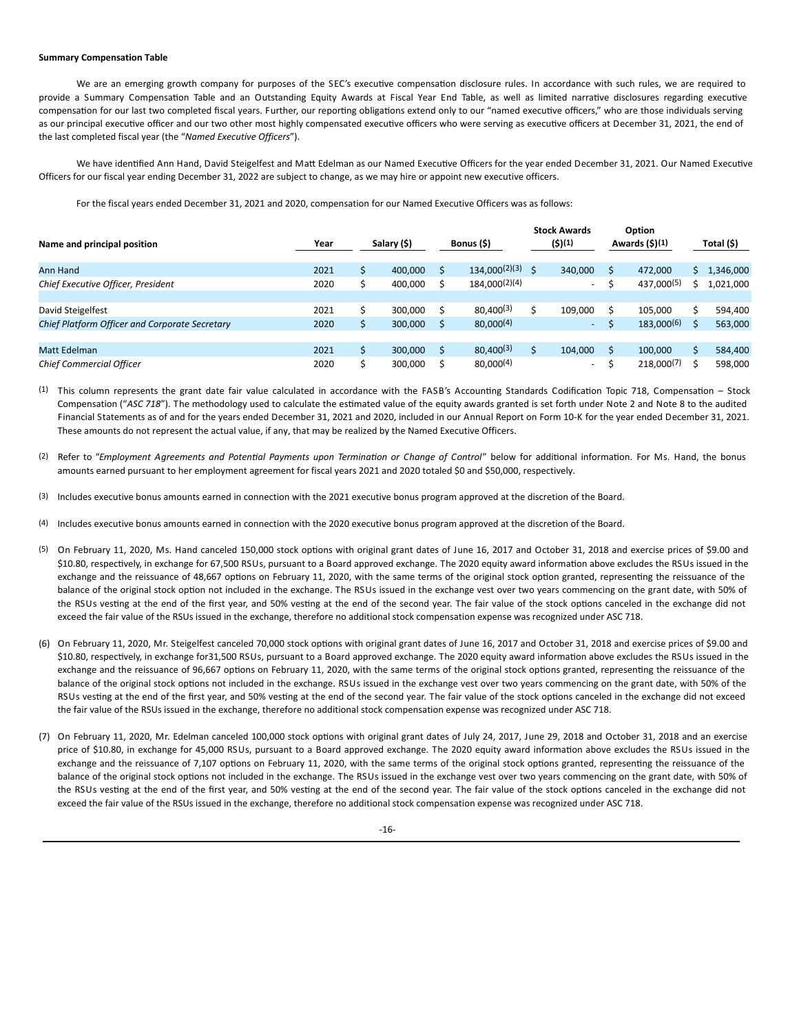## **Summary Compensation Table**

We are an emerging growth company for purposes of the SEC's executive compensation disclosure rules. In accordance with such rules, we are required to provide a Summary Compensation Table and an Outstanding Equity Awards at Fiscal Year End Table, as well as limited narrative disclosures regarding executive compensation for our last two completed fiscal years. Further, our reporting obligations extend only to our "named executive officers," who are those individuals serving as our principal executive officer and our two other most highly compensated executive officers who were serving as executive officers at December 31, 2021, the end of the last completed fiscal year (the "*Named Executive Officers*").

We have identified Ann Hand, David Steigelfest and Matt Edelman as our Named Executive Officers for the year ended December 31, 2021. Our Named Executive Officers for our fiscal year ending December 31, 2022 are subject to change, as we may hire or appoint new executive officers.

For the fiscal years ended December 31, 2021 and 2020, compensation for our Named Executive Officers was as follows:

| Name and principal position                           | Year | Salary (\$) |   | Bonus (\$)     | <b>Stock Awards</b><br>(\$)(1) | Option<br>Awards $(5)(1)$ | Total (\$) |
|-------------------------------------------------------|------|-------------|---|----------------|--------------------------------|---------------------------|------------|
| Ann Hand                                              | 2021 | 400.000     |   | 134,000(2)(3)  | 340.000                        | 472.000                   | 1,346,000  |
| Chief Executive Officer, President                    | 2020 | 400,000     |   | 184.000(2)(4)  | $\sim$                         | 437.000(5)                | 1,021,000  |
|                                                       |      |             |   |                |                                |                           |            |
| David Steigelfest                                     | 2021 | 300.000     |   | $80.400^{(3)}$ | 109.000                        | 105.000                   | 594,400    |
| <b>Chief Platform Officer and Corporate Secretary</b> | 2020 | 300.000     |   | $80.000^{(4)}$ | $\sim$                         | $183,000^{(6)}$           | 563,000    |
|                                                       |      |             |   |                |                                |                           |            |
| Matt Edelman                                          | 2021 | 300,000     | S | 80,400(3)      | 104.000                        | 100.000                   | 584,400    |
| <b>Chief Commercial Officer</b>                       | 2020 | 300.000     |   | $80.000^{(4)}$ | $\sim$                         | $218.000^{(7)}$           | 598,000    |

 $(1)$  This column represents the grant date fair value calculated in accordance with the FASB's Accounting Standards Codification Topic 718, Compensation – Stock Compensation ("ASC 718"). The methodology used to calculate the estimated value of the equity awards granted is set forth under Note 2 and Note 8 to the audited Financial Statements as of and for the years ended December 31, 2021 and 2020, included in our Annual Report on Form 10-K for the year ended December 31, 2021. These amounts do not represent the actual value, if any, that may be realized by the Named Executive Officers.

- (2) Refer to "Employment Agreements and Potential Payments upon Termination or Change of Control" below for additional information. For Ms. Hand, the bonus amounts earned pursuant to her employment agreement for fiscal years 2021 and 2020 totaled \$0 and \$50,000, respectively.
- (3) Includes executive bonus amounts earned in connection with the 2021 executive bonus program approved at the discretion of the Board.
- (4) Includes executive bonus amounts earned in connection with the 2020 executive bonus program approved at the discretion of the Board.
- (5) On February 11, 2020, Ms. Hand canceled 150,000 stock options with original grant dates of June 16, 2017 and October 31, 2018 and exercise prices of \$9.00 and \$10.80, respectively, in exchange for 67,500 RSUs, pursuant to a Board approved exchange. The 2020 equity award information above excludes the RSUs issued in the exchange and the reissuance of 48,667 options on February 11, 2020, with the same terms of the original stock option granted, representing the reissuance of the balance of the original stock option not included in the exchange. The RSUs issued in the exchange vest over two years commencing on the grant date, with 50% of the RSUs vesting at the end of the first year, and 50% vesting at the end of the second year. The fair value of the stock options canceled in the exchange did not exceed the fair value of the RSUs issued in the exchange, therefore no additional stock compensation expense was recognized under ASC 718.
- (6) On February 11, 2020, Mr. Steigelfest canceled 70,000 stock options with original grant dates of June 16, 2017 and October 31, 2018 and exercise prices of \$9.00 and \$10.80, respectively, in exchange for31,500 RSUs, pursuant to a Board approved exchange. The 2020 equity award information above excludes the RSUs issued in the exchange and the reissuance of 96,667 options on February 11, 2020, with the same terms of the original stock options granted, representing the reissuance of the balance of the original stock options not included in the exchange. RSUs issued in the exchange vest over two years commencing on the grant date, with 50% of the RSUs vesting at the end of the first year, and 50% vesting at the end of the second year. The fair value of the stock options canceled in the exchange did not exceed the fair value of the RSUs issued in the exchange, therefore no additional stock compensation expense was recognized under ASC 718.
- (7) On February 11, 2020, Mr. Edelman canceled 100,000 stock options with original grant dates of July 24, 2017, June 29, 2018 and October 31, 2018 and an exercise price of \$10.80, in exchange for 45,000 RSUs, pursuant to a Board approved exchange. The 2020 equity award information above excludes the RSUs issued in the exchange and the reissuance of 7,107 options on February 11, 2020, with the same terms of the original stock options granted, representing the reissuance of the balance of the original stock options not included in the exchange. The RSUs issued in the exchange vest over two years commencing on the grant date, with 50% of the RSUs vesting at the end of the first year, and 50% vesting at the end of the second year. The fair value of the stock options canceled in the exchange did not exceed the fair value of the RSUs issued in the exchange, therefore no additional stock compensation expense was recognized under ASC 718.

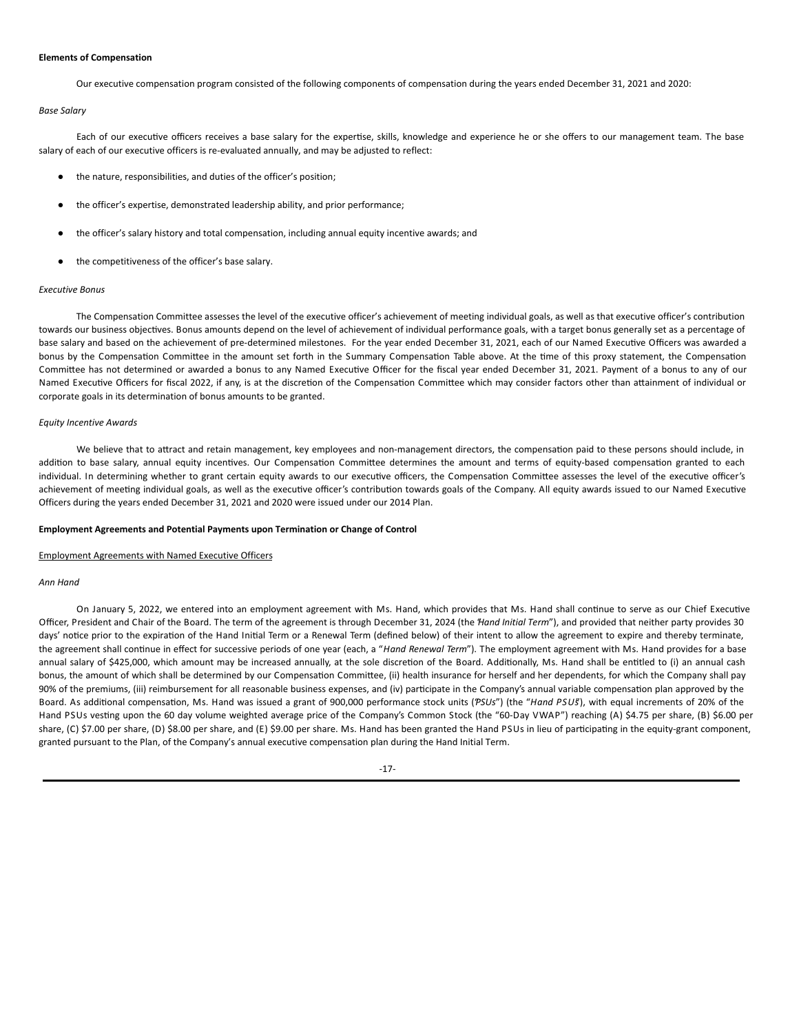### **Elements of Compensation**

Our executive compensation program consisted of the following components of compensation during the years ended December 31, 2021 and 2020:

# *Base Salary*

Each of our executive officers receives a base salary for the expertise, skills, knowledge and experience he or she offers to our management team. The base salary of each of our executive officers is re-evaluated annually, and may be adjusted to reflect:

- the nature, responsibilities, and duties of the officer's position;
- the officer's expertise, demonstrated leadership ability, and prior performance;
- the officer's salary history and total compensation, including annual equity incentive awards; and
- the competitiveness of the officer's base salary.

## *Executive Bonus*

The Compensation Committee assesses the level of the executive officer's achievement of meeting individual goals, as well as that executive officer's contribution towards our business objectives. Bonus amounts depend on the level of achievement of individual performance goals, with a target bonus generally set as a percentage of base salary and based on the achievement of pre-determined milestones. For the year ended December 31, 2021, each of our Named Executive Officers was awarded a bonus by the Compensation Committee in the amount set forth in the Summary Compensation Table above. At the time of this proxy statement, the Compensation Committee has not determined or awarded a bonus to any Named Executive Officer for the fiscal year ended December 31, 2021. Payment of a bonus to any of our Named Executive Officers for fiscal 2022, if any, is at the discretion of the Compensation Committee which may consider factors other than attainment of individual or corporate goals in its determination of bonus amounts to be granted.

## *Equity Incentive Awards*

We believe that to attract and retain management, key employees and non-management directors, the compensation paid to these persons should include, in addition to base salary, annual equity incentives. Our Compensation Committee determines the amount and terms of equity-based compensation granted to each individual. In determining whether to grant certain equity awards to our executive officers, the Compensation Committee assesses the level of the executive officer's achievement of meeting individual goals, as well as the executive officer's contribution towards goals of the Company. All equity awards issued to our Named Executive Officers during the years ended December 31, 2021 and 2020 were issued under our 2014 Plan.

### **Employment Agreements and Potential Payments upon Termination or Change of Control**

### Employment Agreements with Named Executive Officers

## *Ann Hand*

On January 5, 2022, we entered into an employment agreement with Ms. Hand, which provides that Ms. Hand shall continue to serve as our Chief Executive Officer, President and Chair of the Board. The term of the agreement is through December 31, 2024 (the "*Hand Initial Term*"), and provided that neither party provides 30 days' notice prior to the expiration of the Hand Initial Term or a Renewal Term (defined below) of their intent to allow the agreement to expire and thereby terminate, the agreement shall continue in effect for successive periods of one year (each, a "Hand Renewal Term"). The employment agreement with Ms. Hand provides for a base annual salary of \$425,000, which amount may be increased annually, at the sole discretion of the Board. Additionally, Ms. Hand shall be entitled to (i) an annual cash bonus, the amount of which shall be determined by our Compensation Committee, (ii) health insurance for herself and her dependents, for which the Company shall pay 90% of the premiums, (iii) reimbursement for all reasonable business expenses, and (iv) participate in the Company's annual variable compensation plan approved by the Board. As additional compensation, Ms. Hand was issued a grant of 900,000 performance stock units ('PSUs") (the "Hand PSUs"), with equal increments of 20% of the Hand PSUs vesting upon the 60 day volume weighted average price of the Company's Common Stock (the "60-Day VWAP") reaching (A) \$4.75 per share, (B) \$6.00 per share, (C) \$7.00 per share, (D) \$8.00 per share, and (E) \$9.00 per share. Ms. Hand has been granted the Hand PSUs in lieu of participating in the equity-grant component, granted pursuant to the Plan, of the Company's annual executive compensation plan during the Hand Initial Term.

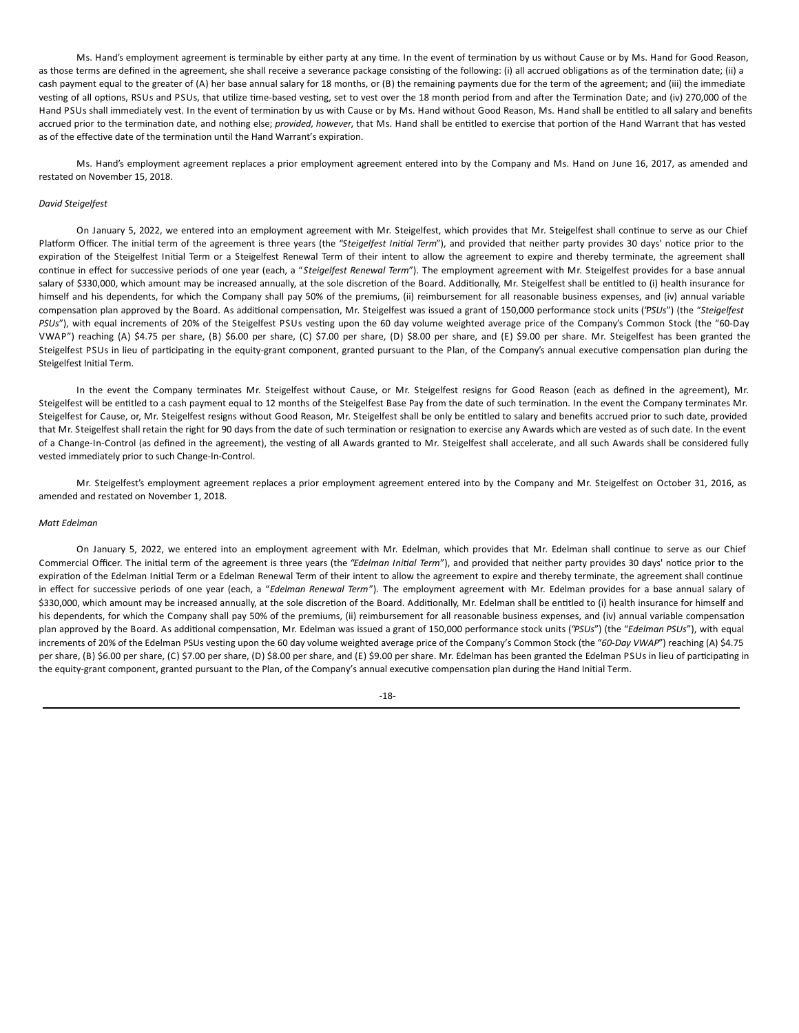Ms. Hand's employment agreement is terminable by either party at any time. In the event of termination by us without Cause or by Ms. Hand for Good Reason, as those terms are defined in the agreement, she shall receive a severance package consisting of the following: (i) all accrued obligations as of the termination date; (ii) a cash payment equal to the greater of (A) her base annual salary for 18 months, or (B) the remaining payments due for the term of the agreement; and (iii) the immediate vesting of all options, RSUs and PSUs, that utilize time-based vesting, set to vest over the 18 month period from and after the Termination Date; and (iv) 270,000 of the Hand PSUs shall immediately vest. In the event of termination by us with Cause or by Ms. Hand without Good Reason, Ms. Hand shall be entitled to all salary and benefits accrued prior to the termination date, and nothing else; *provided, however*, that Ms. Hand shall be entitled to exercise that portion of the Hand Warrant that has vested as of the effective date of the termination until the Hand Warrant's expiration.

Ms. Hand's employment agreement replaces a prior employment agreement entered into by the Company and Ms. Hand on June 16, 2017, as amended and restated on November 15, 2018.

# *David Steigelfest*

On January 5, 2022, we entered into an employment agreement with Mr. Steigelfest, which provides that Mr. Steigelfest shall continue to serve as our Chief Platform Officer. The initial term of the agreement is three years (the "Steigelfest Initial Term"), and provided that neither party provides 30 days' notice prior to the expiration of the Steigelfest Initial Term or a Steigelfest Renewal Term of their intent to allow the agreement to expire and thereby terminate, the agreement shall con7nue in effect for successive periods of one year (each, a "*Steigelfest Renewal Term*"). The employment agreement with Mr. Steigelfest provides for a base annual salary of \$330,000, which amount may be increased annually, at the sole discretion of the Board. Additionally, Mr. Steigelfest shall be entitled to (i) health insurance for himself and his dependents, for which the Company shall pay 50% of the premiums, (ii) reimbursement for all reasonable business expenses, and (iv) annual variable compensation plan approved by the Board. As additional compensation, Mr. Steigelfest was issued a grant of 150,000 performance stock units ('PSUs") (the "Steigelfest PSUs"), with equal increments of 20% of the Steigelfest PSUs vesting upon the 60 day volume weighted average price of the Company's Common Stock (the "60-Day VWAP") reaching (A) \$4.75 per share, (B) \$6.00 per share, (C) \$7.00 per share, (D) \$8.00 per share, and (E) \$9.00 per share. Mr. Steigelfest has been granted the Steigelfest PSUs in lieu of participating in the equity-grant component, granted pursuant to the Plan, of the Company's annual executive compensation plan during the Steigelfest Initial Term.

In the event the Company terminates Mr. Steigelfest without Cause, or Mr. Steigelfest resigns for Good Reason (each as defined in the agreement), Mr. Steigelfest will be entitled to a cash payment equal to 12 months of the Steigelfest Base Pay from the date of such termination. In the event the Company terminates Mr. Steigelfest for Cause, or, Mr. Steigelfest resigns without Good Reason, Mr. Steigelfest shall be only be entitled to salary and benefits accrued prior to such date, provided that Mr. Steigelfest shall retain the right for 90 days from the date of such termination or resignation to exercise any Awards which are vested as of such date. In the event of a Change-In-Control (as defined in the agreement), the vesting of all Awards granted to Mr. Steigelfest shall accelerate, and all such Awards shall be considered fully vested immediately prior to such Change-In-Control.

Mr. Steigelfest's employment agreement replaces a prior employment agreement entered into by the Company and Mr. Steigelfest on October 31, 2016, as amended and restated on November 1, 2018.

# *Matt Edelman*

On January 5, 2022, we entered into an employment agreement with Mr. Edelman, which provides that Mr. Edelman shall continue to serve as our Chief Commercial Officer. The initial term of the agreement is three years (the "Edelman Initial Term"), and provided that neither party provides 30 days' notice prior to the expiration of the Edelman Initial Term or a Edelman Renewal Term of their intent to allow the agreement to expire and thereby terminate, the agreement shall continue in effect for successive periods of one year (each, a "*Edelman Renewal Term*"). The employment agreement with Mr. Edelman provides for a base annual salary of \$330,000, which amount may be increased annually, at the sole discretion of the Board. Additionally, Mr. Edelman shall be entitled to (i) health insurance for himself and his dependents, for which the Company shall pay 50% of the premiums, (ii) reimbursement for all reasonable business expenses, and (iv) annual variable compensation plan approved by the Board. As additional compensation, Mr. Edelman was issued a grant of 150,000 performance stock units ("PSUs") (the "Edelman PSUs"), with equal increments of 20% of the Edelman PSUs vesting upon the 60 day volume weighted average price of the Company's Common Stock (the "*60-Day VWAP*") reaching (A) \$4.75 per share, (B) \$6.00 per share, (C) \$7.00 per share, (D) \$8.00 per share, and (E) \$9.00 per share. Mr. Edelman has been granted the Edelman PSUs in lieu of participating in the equity-grant component, granted pursuant to the Plan, of the Company's annual executive compensation plan during the Hand Initial Term.

-18-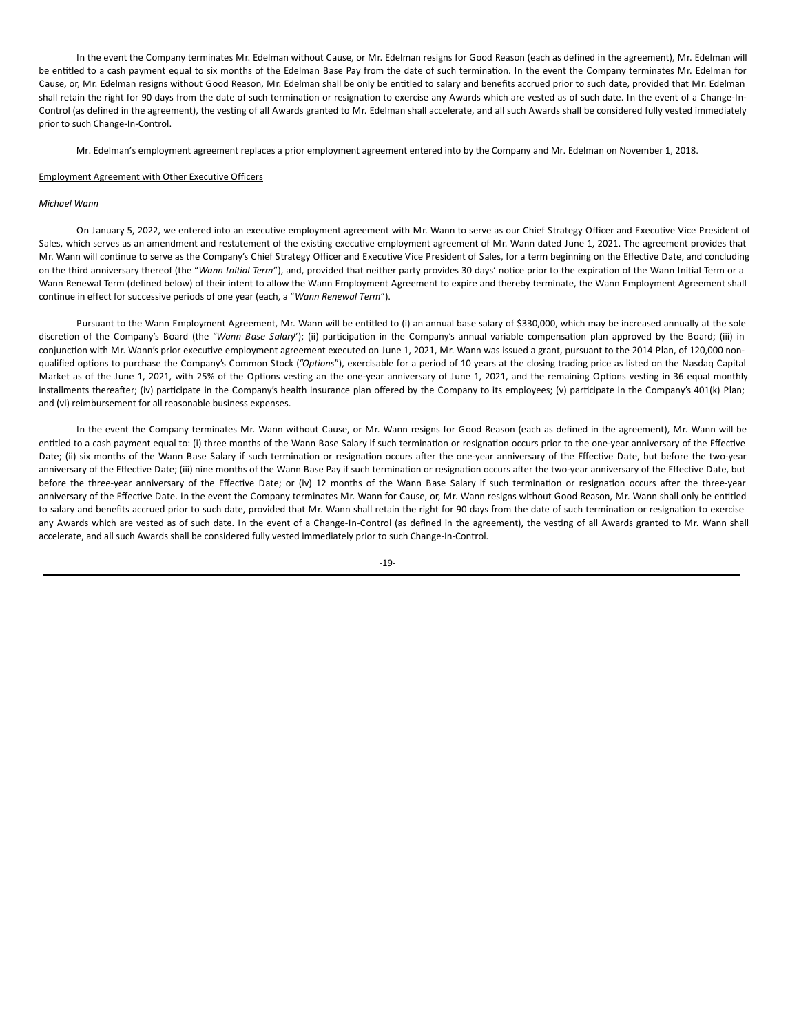In the event the Company terminates Mr. Edelman without Cause, or Mr. Edelman resigns for Good Reason (each as defined in the agreement), Mr. Edelman will be entitled to a cash payment equal to six months of the Edelman Base Pay from the date of such termination. In the event the Company terminates Mr. Edelman for Cause, or, Mr. Edelman resigns without Good Reason, Mr. Edelman shall be only be entitled to salary and benefits accrued prior to such date, provided that Mr. Edelman shall retain the right for 90 days from the date of such termination or resignation to exercise any Awards which are vested as of such date. In the event of a Change-In-Control (as defined in the agreement), the vesting of all Awards granted to Mr. Edelman shall accelerate, and all such Awards shall be considered fully vested immediately prior to such Change-In-Control.

Mr. Edelman's employment agreement replaces a prior employment agreement entered into by the Company and Mr. Edelman on November 1, 2018.

## Employment Agreement with Other Executive Officers

## *Michael Wann*

On January 5, 2022, we entered into an executive employment agreement with Mr. Wann to serve as our Chief Strategy Officer and Executive Vice President of Sales, which serves as an amendment and restatement of the existing executive employment agreement of Mr. Wann dated June 1, 2021. The agreement provides that Mr. Wann will continue to serve as the Company's Chief Strategy Officer and Executive Vice President of Sales, for a term beginning on the Effective Date, and concluding on the third anniversary thereof (the "Wann Initial Term"), and, provided that neither party provides 30 days' notice prior to the expiration of the Wann Initial Term or a Wann Renewal Term (defined below) of their intent to allow the Wann Employment Agreement to expire and thereby terminate, the Wann Employment Agreement shall continue in effect for successive periods of one year (each, a "*Wann Renewal Term*").

Pursuant to the Wann Employment Agreement, Mr. Wann will be entitled to (i) an annual base salary of \$330,000, which may be increased annually at the sole discretion of the Company's Board (the "Wann Base Salary"); (ii) participation in the Company's annual variable compensation plan approved by the Board; (iii) in conjunction with Mr. Wann's prior executive employment agreement executed on June 1, 2021, Mr. Wann was issued a grant, pursuant to the 2014 Plan, of 120,000 nonqualified options to purchase the Company's Common Stock ("Options"), exercisable for a period of 10 years at the closing trading price as listed on the Nasdaq Capital Market as of the June 1, 2021, with 25% of the Options vesting an the one-year anniversary of June 1, 2021, and the remaining Options vesting in 36 equal monthly installments thereafter; (iv) participate in the Company's health insurance plan offered by the Company to its employees; (v) participate in the Company's 401(k) Plan; and (vi) reimbursement for all reasonable business expenses.

In the event the Company terminates Mr. Wann without Cause, or Mr. Wann resigns for Good Reason (each as defined in the agreement), Mr. Wann will be entitled to a cash payment equal to: (i) three months of the Wann Base Salary if such termination or resignation occurs prior to the one-year anniversary of the Effective Date; (ii) six months of the Wann Base Salary if such termination or resignation occurs after the one-year anniversary of the Effective Date, but before the two-year anniversary of the Effective Date; (iii) nine months of the Wann Base Pay if such termination or resignation occurs after the two-year anniversary of the Effective Date, but before the three-year anniversary of the Effective Date; or (iv) 12 months of the Wann Base Salary if such termination or resignation occurs after the three-year anniversary of the Effective Date. In the event the Company terminates Mr. Wann for Cause, or, Mr. Wann resigns without Good Reason, Mr. Wann shall only be entitled to salary and benefits accrued prior to such date, provided that Mr. Wann shall retain the right for 90 days from the date of such termination or resignation to exercise any Awards which are vested as of such date. In the event of a Change-In-Control (as defined in the agreement), the vesting of all Awards granted to Mr. Wann shall accelerate, and all such Awards shall be considered fully vested immediately prior to such Change-In-Control.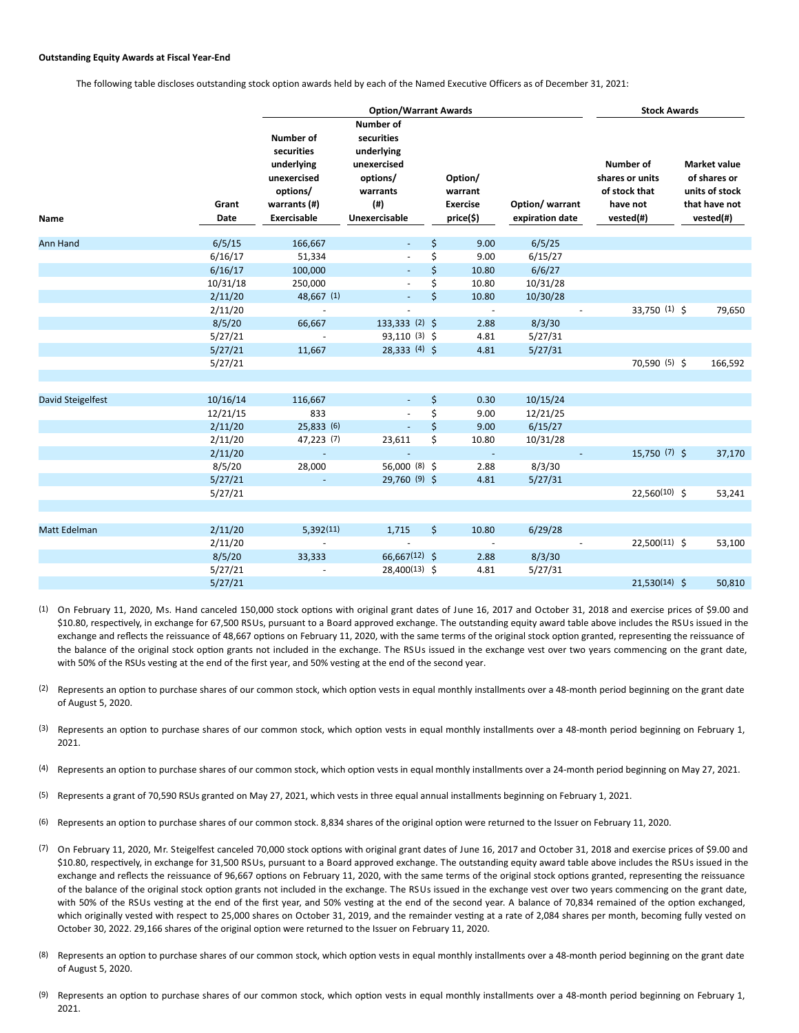## **Outstanding Equity Awards at Fiscal Year-End**

The following table discloses outstanding stock option awards held by each of the Named Executive Officers as of December 31, 2021:

|                                      |                                                                                                                         | <b>Option/Warrant Awards</b>                                                                            | <b>Stock Awards</b>                                |                                    |                                                                        |  |                                                                                     |
|--------------------------------------|-------------------------------------------------------------------------------------------------------------------------|---------------------------------------------------------------------------------------------------------|----------------------------------------------------|------------------------------------|------------------------------------------------------------------------|--|-------------------------------------------------------------------------------------|
| Name                                 | Number of<br>securities<br>underlying<br>unexercised<br>options/<br>Grant<br>warrants (#)<br><b>Exercisable</b><br>Date | Number of<br>securities<br>underlying<br>unexercised<br>options/<br>warrants<br>$($ #)<br>Unexercisable | Option/<br>warrant<br><b>Exercise</b><br>price(\$) | Option/ warrant<br>expiration date | Number of<br>shares or units<br>of stock that<br>have not<br>vested(#) |  | <b>Market value</b><br>of shares or<br>units of stock<br>that have not<br>vested(#) |
| <b>Ann Hand</b>                      | 6/5/15<br>166,667                                                                                                       | $\blacksquare$                                                                                          | \$<br>9.00                                         | 6/5/25                             |                                                                        |  |                                                                                     |
|                                      | 6/16/17<br>51,334                                                                                                       | $\overline{\phantom{a}}$                                                                                | \$<br>9.00                                         | 6/15/27                            |                                                                        |  |                                                                                     |
|                                      | 6/16/17<br>100,000                                                                                                      | ÷.                                                                                                      | \$<br>10.80                                        | 6/6/27                             |                                                                        |  |                                                                                     |
|                                      | 10/31/18<br>250,000                                                                                                     |                                                                                                         | \$<br>10.80                                        | 10/31/28                           |                                                                        |  |                                                                                     |
|                                      | 48,667 (1)<br>2/11/20                                                                                                   | ÷.                                                                                                      | \$<br>10.80                                        | 10/30/28                           |                                                                        |  |                                                                                     |
|                                      | 2/11/20                                                                                                                 |                                                                                                         | $\overline{\phantom{a}}$                           |                                    | 33,750 (1) \$                                                          |  | 79,650                                                                              |
|                                      | 66,667<br>8/5/20                                                                                                        | 133,333 (2) \$                                                                                          | 2.88                                               | 8/3/30                             |                                                                        |  |                                                                                     |
|                                      | 5/27/21                                                                                                                 | 93,110 (3) \$                                                                                           | 4.81                                               | 5/27/31                            |                                                                        |  |                                                                                     |
|                                      | 5/27/21<br>11,667                                                                                                       | 28,333 (4) \$                                                                                           | 4.81                                               | 5/27/31                            |                                                                        |  |                                                                                     |
|                                      | 5/27/21                                                                                                                 |                                                                                                         |                                                    |                                    | 70,590 (5) \$                                                          |  | 166,592                                                                             |
|                                      |                                                                                                                         |                                                                                                         |                                                    |                                    |                                                                        |  |                                                                                     |
| 10/16/14<br><b>David Steigelfest</b> | 116,667                                                                                                                 | $\sim$                                                                                                  | \$<br>0.30                                         | 10/15/24                           |                                                                        |  |                                                                                     |
|                                      | 833<br>12/21/15                                                                                                         |                                                                                                         | \$<br>9.00                                         | 12/21/25                           |                                                                        |  |                                                                                     |
|                                      | 25,833 (6)<br>2/11/20                                                                                                   | $\omega$                                                                                                | \$<br>9.00                                         | 6/15/27                            |                                                                        |  |                                                                                     |
|                                      | 2/11/20<br>47,223 (7)                                                                                                   | 23,611                                                                                                  | \$<br>10.80                                        | 10/31/28                           |                                                                        |  |                                                                                     |
|                                      | 2/11/20                                                                                                                 | $\blacksquare$                                                                                          | $\overline{\phantom{a}}$                           |                                    | 15,750 (7) \$                                                          |  | 37,170                                                                              |
|                                      | 28,000<br>8/5/20                                                                                                        | 56,000 (8) \$                                                                                           | 2.88                                               | 8/3/30                             |                                                                        |  |                                                                                     |
|                                      | 5/27/21                                                                                                                 | 29,760 (9) \$                                                                                           | 4.81                                               | 5/27/31                            |                                                                        |  |                                                                                     |
|                                      | 5/27/21                                                                                                                 |                                                                                                         |                                                    |                                    | 22,560(10) \$                                                          |  | 53,241                                                                              |
|                                      |                                                                                                                         |                                                                                                         |                                                    |                                    |                                                                        |  |                                                                                     |
| <b>Matt Edelman</b>                  | 2/11/20<br>5,392(11)                                                                                                    | 1,715                                                                                                   | \$<br>10.80                                        | 6/29/28                            |                                                                        |  |                                                                                     |
|                                      | 2/11/20                                                                                                                 |                                                                                                         |                                                    |                                    | $22,500(11)$ \$                                                        |  | 53,100                                                                              |
|                                      | 8/5/20<br>33,333                                                                                                        | 66,667(12) \$                                                                                           | 2.88                                               | 8/3/30                             |                                                                        |  |                                                                                     |
|                                      | 5/27/21                                                                                                                 | 28,400(13) \$                                                                                           | 4.81                                               | 5/27/31                            |                                                                        |  |                                                                                     |
|                                      | 5/27/21                                                                                                                 |                                                                                                         |                                                    |                                    | $21,530(14)$ \$                                                        |  | 50,810                                                                              |

 $(1)$  On February 11, 2020, Ms. Hand canceled 150,000 stock options with original grant dates of June 16, 2017 and October 31, 2018 and exercise prices of \$9.00 and \$10.80, respectively, in exchange for 67,500 RSUs, pursuant to a Board approved exchange. The outstanding equity award table above includes the RSUs issued in the exchange and reflects the reissuance of 48,667 options on February 11, 2020, with the same terms of the original stock option granted, representing the reissuance of the balance of the original stock option grants not included in the exchange. The RSUs issued in the exchange vest over two years commencing on the grant date, with 50% of the RSUs vesting at the end of the first year, and 50% vesting at the end of the second year.

- (2) Represents an option to purchase shares of our common stock, which option vests in equal monthly installments over a 48-month period beginning on the grant date of August 5, 2020.
- (3) Represents an option to purchase shares of our common stock, which option vests in equal monthly installments over a 48-month period beginning on February 1, 2021.
- (4) Represents an option to purchase shares of our common stock, which option vests in equal monthly installments over a 24-month period beginning on May 27, 2021.
- (5) Represents a grant of 70,590 RSUs granted on May 27, 2021, which vests in three equal annual installments beginning on February 1, 2021.
- (6) Represents an option to purchase shares of our common stock. 8,834 shares of the original option were returned to the Issuer on February 11, 2020.
- (7) On February 11, 2020, Mr. Steigelfest canceled 70,000 stock options with original grant dates of June 16, 2017 and October 31, 2018 and exercise prices of \$9.00 and \$10.80, respectively, in exchange for 31,500 RSUs, pursuant to a Board approved exchange. The outstanding equity award table above includes the RSUs issued in the exchange and reflects the reissuance of 96,667 options on February 11, 2020, with the same terms of the original stock options granted, representing the reissuance of the balance of the original stock option grants not included in the exchange. The RSUs issued in the exchange vest over two years commencing on the grant date, with 50% of the RSUs vesting at the end of the first year, and 50% vesting at the end of the second year. A balance of 70,834 remained of the option exchanged, which originally vested with respect to 25,000 shares on October 31, 2019, and the remainder vesting at a rate of 2,084 shares per month, becoming fully vested on October 30, 2022. 29,166 shares of the original option were returned to the Issuer on February 11, 2020.
- (8) Represents an option to purchase shares of our common stock, which option vests in equal monthly installments over a 48-month period beginning on the grant date of August 5, 2020.
- (9) Represents an option to purchase shares of our common stock, which option vests in equal monthly installments over a 48-month period beginning on February 1, 2021.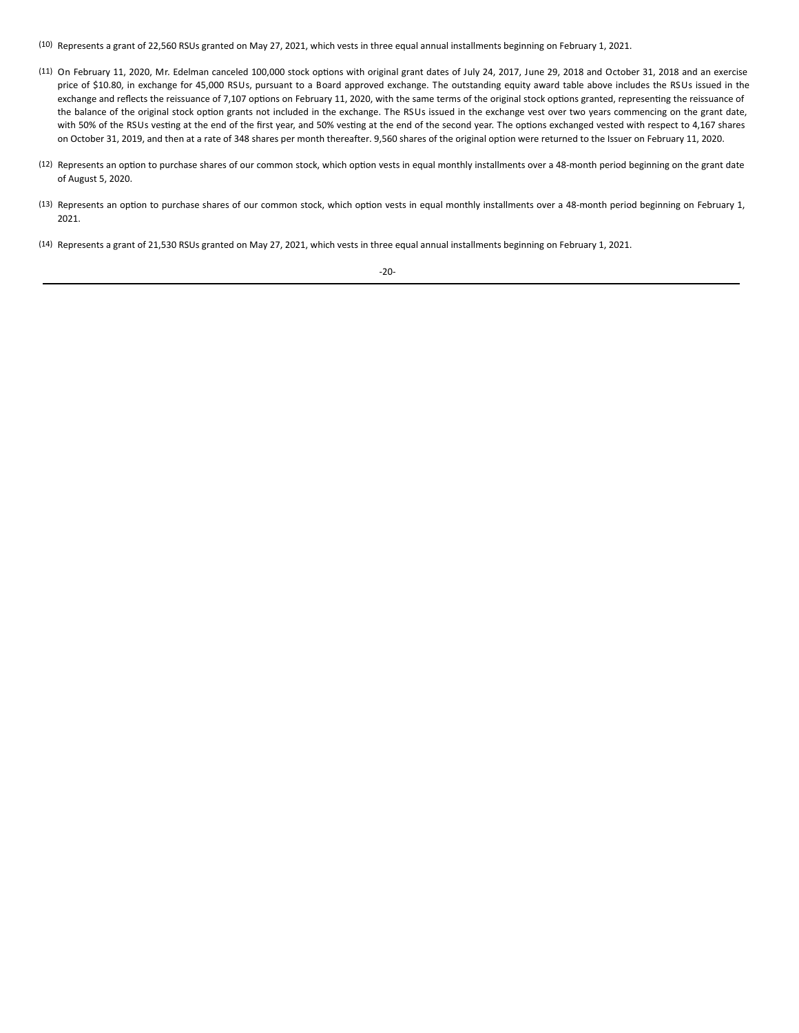(10) Represents a grant of 22,560 RSUs granted on May 27, 2021, which vests in three equal annual installments beginning on February 1, 2021.

- (11) On February 11, 2020, Mr. Edelman canceled 100,000 stock options with original grant dates of July 24, 2017, June 29, 2018 and October 31, 2018 and an exercise price of \$10.80, in exchange for 45,000 RSUs, pursuant to a Board approved exchange. The outstanding equity award table above includes the RSUs issued in the exchange and reflects the reissuance of 7,107 options on February 11, 2020, with the same terms of the original stock options granted, representing the reissuance of the balance of the original stock option grants not included in the exchange. The RSUs issued in the exchange vest over two years commencing on the grant date, with 50% of the RSUs vesting at the end of the first year, and 50% vesting at the end of the second year. The options exchanged vested with respect to 4,167 shares on October 31, 2019, and then at a rate of 348 shares per month thereafter. 9,560 shares of the original option were returned to the Issuer on February 11, 2020.
- (12) Represents an option to purchase shares of our common stock, which option vests in equal monthly installments over a 48-month period beginning on the grant date of August 5, 2020.
- (13) Represents an option to purchase shares of our common stock, which option vests in equal monthly installments over a 48-month period beginning on February 1, 2021.
- (14) Represents a grant of 21,530 RSUs granted on May 27, 2021, which vests in three equal annual installments beginning on February 1, 2021.

-20-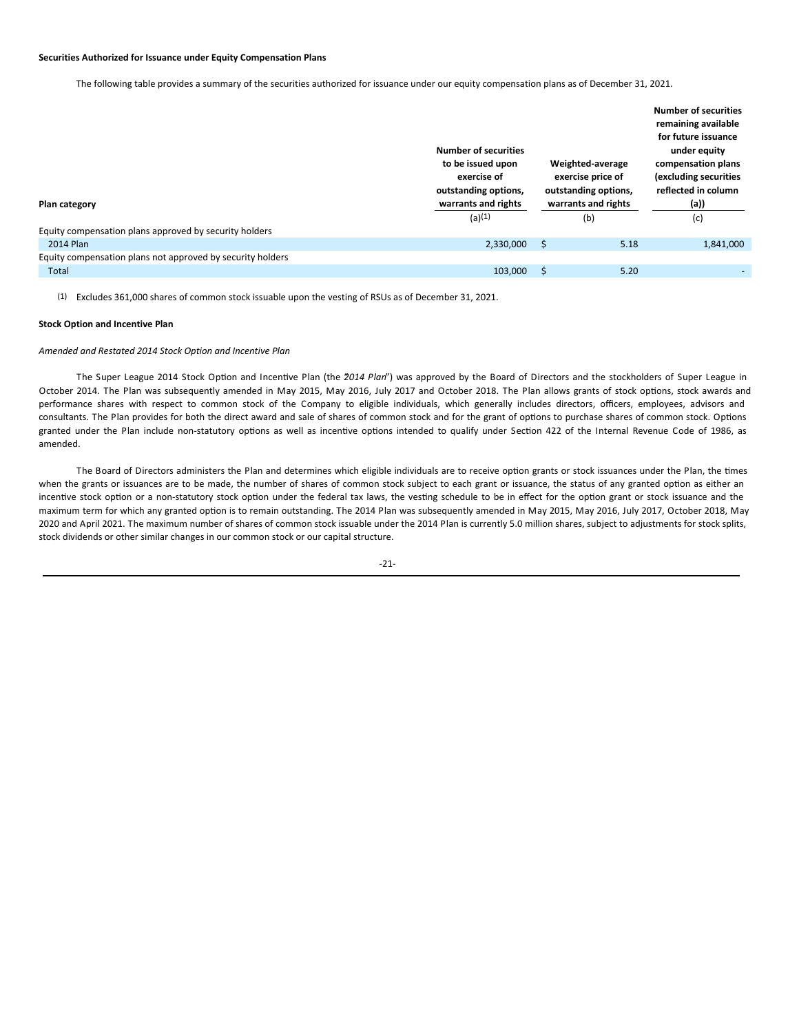### **Securities Authorized for Issuance under Equity Compensation Plans**

The following table provides a summary of the securities authorized for issuance under our equity compensation plans as of December 31, 2021.

| Plan category                                              | <b>Number of securities</b><br>to be issued upon<br>Weighted-average<br>exercise price of<br>exercise of<br>outstanding options,<br>outstanding options,<br>warrants and rights<br>warrants and rights<br>(a)(1)<br>(b) |   |      | <b>Number of securities</b><br>remaining available<br>for future issuance<br>under equity<br>compensation plans<br>(excluding securities<br>reflected in column<br>(a)) |
|------------------------------------------------------------|-------------------------------------------------------------------------------------------------------------------------------------------------------------------------------------------------------------------------|---|------|-------------------------------------------------------------------------------------------------------------------------------------------------------------------------|
|                                                            |                                                                                                                                                                                                                         |   |      | (c)                                                                                                                                                                     |
| Equity compensation plans approved by security holders     |                                                                                                                                                                                                                         |   |      |                                                                                                                                                                         |
| 2014 Plan                                                  | 2,330,000                                                                                                                                                                                                               | S | 5.18 | 1,841,000                                                                                                                                                               |
| Equity compensation plans not approved by security holders |                                                                                                                                                                                                                         |   |      |                                                                                                                                                                         |
| Total                                                      | 103,000                                                                                                                                                                                                                 |   | 5.20 |                                                                                                                                                                         |

(1) Excludes 361,000 shares of common stock issuable upon the vesting of RSUs as of December 31, 2021.

# **Stock Option and Incentive Plan**

## *Amended and Restated 2014 Stock Option and Incentive Plan*

The Super League 2014 Stock Option and Incentive Plan (the 2014 Plan<sup>"</sup>) was approved by the Board of Directors and the stockholders of Super League in October 2014. The Plan was subsequently amended in May 2015, May 2016, July 2017 and October 2018. The Plan allows grants of stock options, stock awards and performance shares with respect to common stock of the Company to eligible individuals, which generally includes directors, officers, employees, advisors and consultants. The Plan provides for both the direct award and sale of shares of common stock and for the grant of options to purchase shares of common stock. Options granted under the Plan include non-statutory options as well as incentive options intended to qualify under Section 422 of the Internal Revenue Code of 1986, as amended.

The Board of Directors administers the Plan and determines which eligible individuals are to receive option grants or stock issuances under the Plan, the times when the grants or issuances are to be made, the number of shares of common stock subject to each grant or issuance, the status of any granted option as either an incentive stock option or a non-statutory stock option under the federal tax laws, the vesting schedule to be in effect for the option grant or stock issuance and the maximum term for which any granted option is to remain outstanding. The 2014 Plan was subsequently amended in May 2015, May 2016, July 2017, October 2018, May 2020 and April 2021. The maximum number of shares of common stock issuable under the 2014 Plan is currently 5.0 million shares, subject to adjustments for stock splits, stock dividends or other similar changes in our common stock or our capital structure.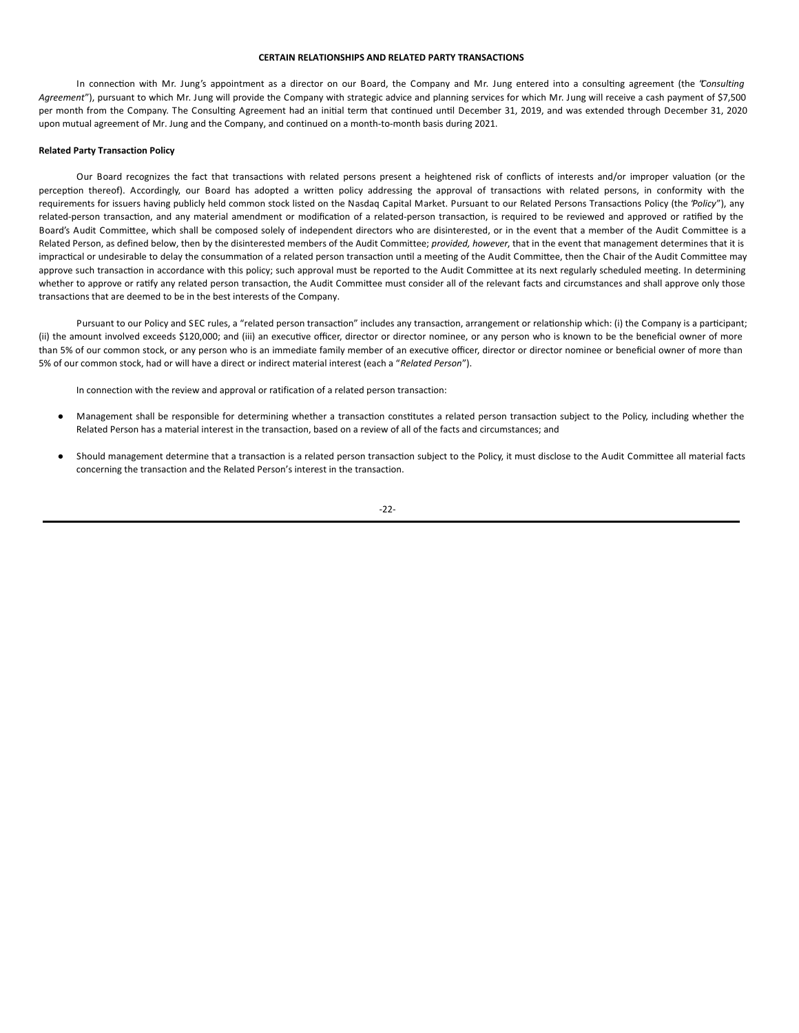## **CERTAIN RELATIONSHIPS AND RELATED PARTY TRANSACTIONS**

In connection with Mr. Jung's appointment as a director on our Board, the Company and Mr. Jung entered into a consulting agreement (the 'Consulting Agreement"), pursuant to which Mr. Jung will provide the Company with strategic advice and planning services for which Mr. Jung will receive a cash payment of \$7,500 per month from the Company. The Consulting Agreement had an initial term that continued until December 31, 2019, and was extended through December 31, 2020 upon mutual agreement of Mr. Jung and the Company, and continued on a month-to-month basis during 2021.

### **Related Party Transaction Policy**

Our Board recognizes the fact that transactions with related persons present a heightened risk of conflicts of interests and/or improper valuation (or the perception thereof). Accordingly, our Board has adopted a written policy addressing the approval of transactions with related persons, in conformity with the requirements for issuers having publicly held common stock listed on the Nasdaq Capital Market. Pursuant to our Related Persons Transactions Policy (the 'Policy'), any related-person transaction, and any material amendment or modification of a related-person transaction, is required to be reviewed and approved or ratified by the Board's Audit Committee, which shall be composed solely of independent directors who are disinterested, or in the event that a member of the Audit Committee is a Related Person, as defined below, then by the disinterested members of the Audit Committee; *provided, however*, that in the event that management determines that it is impractical or undesirable to delay the consummation of a related person transaction until a meeting of the Audit Committee, then the Chair of the Audit Committee may approve such transaction in accordance with this policy; such approval must be reported to the Audit Committee at its next regularly scheduled meeting. In determining whether to approve or ratify any related person transaction, the Audit Committee must consider all of the relevant facts and circumstances and shall approve only those transactions that are deemed to be in the best interests of the Company.

Pursuant to our Policy and SEC rules, a "related person transaction" includes any transaction, arrangement or relationship which: (i) the Company is a participant; (ii) the amount involved exceeds \$120,000; and (iii) an executive officer, director or director nominee, or any person who is known to be the beneficial owner of more than 5% of our common stock, or any person who is an immediate family member of an executive officer, director or director nominee or beneficial owner of more than 5% of our common stock, had or will have a direct or indirect material interest (each a "*Related Person*").

In connection with the review and approval or ratification of a related person transaction:

- Management shall be responsible for determining whether a transaction constitutes a related person transaction subject to the Policy, including whether the Related Person has a material interest in the transaction, based on a review of all of the facts and circumstances; and
- Should management determine that a transaction is a related person transaction subject to the Policy, it must disclose to the Audit Committee all material facts concerning the transaction and the Related Person's interest in the transaction.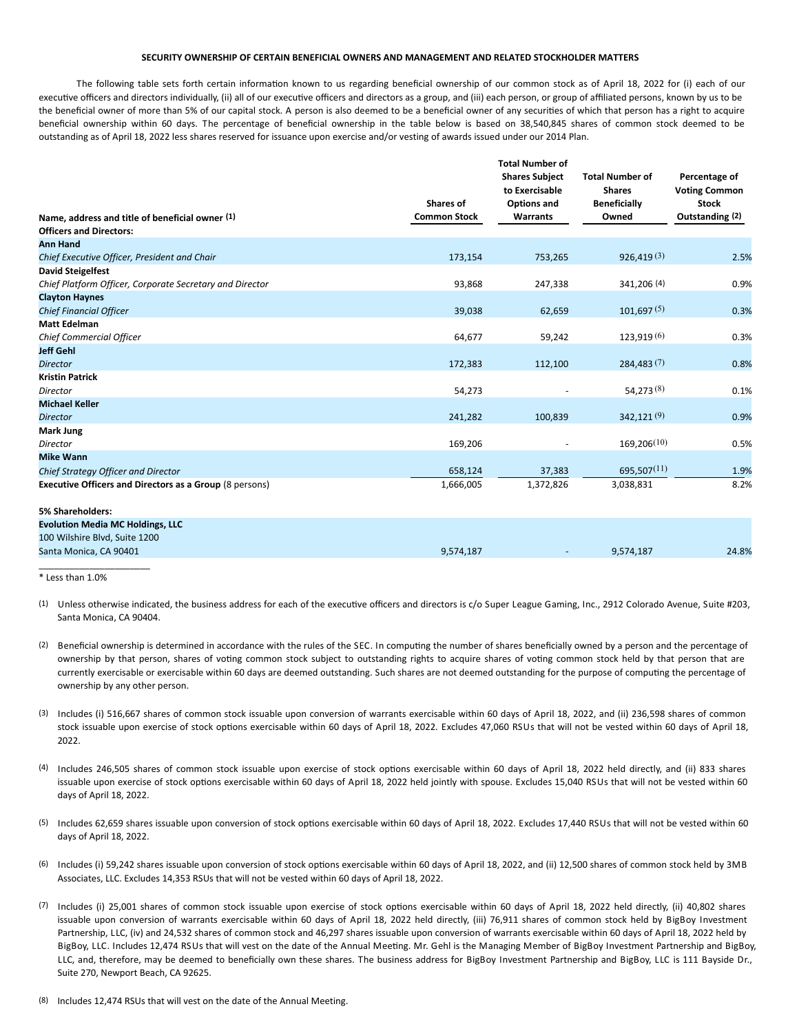## **SECURITY OWNERSHIP OF CERTAIN BENEFICIAL OWNERS AND MANAGEMENT AND RELATED STOCKHOLDER MATTERS**

The following table sets forth certain information known to us regarding beneficial ownership of our common stock as of April 18, 2022 for (i) each of our executive officers and directors individually, (ii) all of our executive officers and directors as a group, and (iii) each person, or group of affiliated persons, known by us to be the beneficial owner of more than 5% of our capital stock. A person is also deemed to be a beneficial owner of any securities of which that person has a right to acquire beneficial ownership within 60 days. The percentage of beneficial ownership in the table below is based on 38,540,845 shares of common stock deemed to be outstanding as of April 18, 2022 less shares reserved for issuance upon exercise and/or vesting of awards issued under our 2014 Plan.

|                                                                | <b>Shares of</b>    | <b>Total Number of</b><br><b>Shares Subject</b><br>to Exercisable<br><b>Options and</b> | <b>Total Number of</b><br><b>Shares</b><br><b>Beneficially</b> | Percentage of<br><b>Voting Common</b><br><b>Stock</b> |
|----------------------------------------------------------------|---------------------|-----------------------------------------------------------------------------------------|----------------------------------------------------------------|-------------------------------------------------------|
| Name, address and title of beneficial owner (1)                | <b>Common Stock</b> | <b>Warrants</b>                                                                         | Owned                                                          | Outstanding (2)                                       |
| <b>Officers and Directors:</b>                                 |                     |                                                                                         |                                                                |                                                       |
| <b>Ann Hand</b>                                                |                     |                                                                                         |                                                                |                                                       |
| Chief Executive Officer, President and Chair                   | 173,154             | 753,265                                                                                 | 926,419(3)                                                     | 2.5%                                                  |
| <b>David Steigelfest</b>                                       |                     |                                                                                         |                                                                |                                                       |
| Chief Platform Officer, Corporate Secretary and Director       | 93,868              | 247,338                                                                                 | 341,206 (4)                                                    | 0.9%                                                  |
| <b>Clayton Haynes</b>                                          |                     |                                                                                         | 101,697(5)                                                     | 0.3%                                                  |
| <b>Chief Financial Officer</b><br><b>Matt Edelman</b>          | 39,038              | 62,659                                                                                  |                                                                |                                                       |
|                                                                |                     |                                                                                         | 123,919(6)                                                     |                                                       |
| Chief Commercial Officer<br><b>Jeff Gehl</b>                   | 64,677              | 59,242                                                                                  |                                                                | 0.3%                                                  |
| <b>Director</b>                                                | 172,383             | 112,100                                                                                 | 284,483(7)                                                     | 0.8%                                                  |
| <b>Kristin Patrick</b>                                         |                     |                                                                                         |                                                                |                                                       |
| Director                                                       | 54,273              |                                                                                         | 54,273(8)                                                      | 0.1%                                                  |
| <b>Michael Keller</b>                                          |                     |                                                                                         |                                                                |                                                       |
| <b>Director</b>                                                | 241,282             | 100,839                                                                                 | 342,121 <sup>(9)</sup>                                         | 0.9%                                                  |
| Mark Jung                                                      |                     |                                                                                         |                                                                |                                                       |
| Director                                                       | 169,206             |                                                                                         | 169,206(10)                                                    | 0.5%                                                  |
| <b>Mike Wann</b>                                               |                     |                                                                                         |                                                                |                                                       |
| <b>Chief Strategy Officer and Director</b>                     | 658,124             | 37,383                                                                                  | 695,507 $(11)$                                                 | 1.9%                                                  |
| <b>Executive Officers and Directors as a Group (8 persons)</b> | 1,666,005           | 1,372,826                                                                               | 3,038,831                                                      | 8.2%                                                  |
| <b>5% Shareholders:</b>                                        |                     |                                                                                         |                                                                |                                                       |
| <b>Evolution Media MC Holdings, LLC</b>                        |                     |                                                                                         |                                                                |                                                       |
| 100 Wilshire Blvd, Suite 1200                                  |                     |                                                                                         |                                                                |                                                       |
| Santa Monica, CA 90401                                         | 9,574,187           |                                                                                         | 9,574,187                                                      | 24.8%                                                 |
|                                                                |                     |                                                                                         |                                                                |                                                       |

\* Less than 1.0%

- (1) Unless otherwise indicated, the business address for each of the executive officers and directors is c/o Super League Gaming, Inc., 2912 Colorado Avenue, Suite #203, Santa Monica, CA 90404.
- (2) Beneficial ownership is determined in accordance with the rules of the SEC. In computing the number of shares beneficially owned by a person and the percentage of ownership by that person, shares of voting common stock subject to outstanding rights to acquire shares of voting common stock held by that person that are currently exercisable or exercisable within 60 days are deemed outstanding. Such shares are not deemed outstanding for the purpose of computing the percentage of ownership by any other person.
- (3) Includes (i) 516,667 shares of common stock issuable upon conversion of warrants exercisable within 60 days of April 18, 2022, and (ii) 236,598 shares of common stock issuable upon exercise of stock options exercisable within 60 days of April 18, 2022. Excludes 47,060 RSUs that will not be vested within 60 days of April 18, 2022.
- (4) Includes 246,505 shares of common stock issuable upon exercise of stock options exercisable within 60 days of April 18, 2022 held directly, and (ii) 833 shares issuable upon exercise of stock options exercisable within 60 days of April 18, 2022 held jointly with spouse. Excludes 15,040 RSUs that will not be vested within 60 days of April 18, 2022.
- (5) Includes 62,659 shares issuable upon conversion of stock options exercisable within 60 days of April 18, 2022. Excludes 17,440 RSUs that will not be vested within 60 days of April 18, 2022.
- (6) Includes (i) 59,242 shares issuable upon conversion of stock options exercisable within 60 days of April 18, 2022, and (ii) 12,500 shares of common stock held by 3MB Associates, LLC. Excludes 14,353 RSUs that will not be vested within 60 days of April 18, 2022.
- (7) Includes (i) 25,001 shares of common stock issuable upon exercise of stock options exercisable within 60 days of April 18, 2022 held directly, (ii) 40,802 shares issuable upon conversion of warrants exercisable within 60 days of April 18, 2022 held directly, (iii) 76,911 shares of common stock held by BigBoy Investment Partnership, LLC, (iv) and 24,532 shares of common stock and 46,297 shares issuable upon conversion of warrants exercisable within 60 days of April 18, 2022 held by BigBoy, LLC. Includes 12,474 RSUs that will vest on the date of the Annual Meeting. Mr. Gehl is the Managing Member of BigBoy Investment Partnership and BigBoy, LLC, and, therefore, may be deemed to beneficially own these shares. The business address for BigBoy Investment Partnership and BigBoy, LLC is 111 Bayside Dr., Suite 270, Newport Beach, CA 92625.
- (8) Includes 12,474 RSUs that will vest on the date of the Annual Meeting.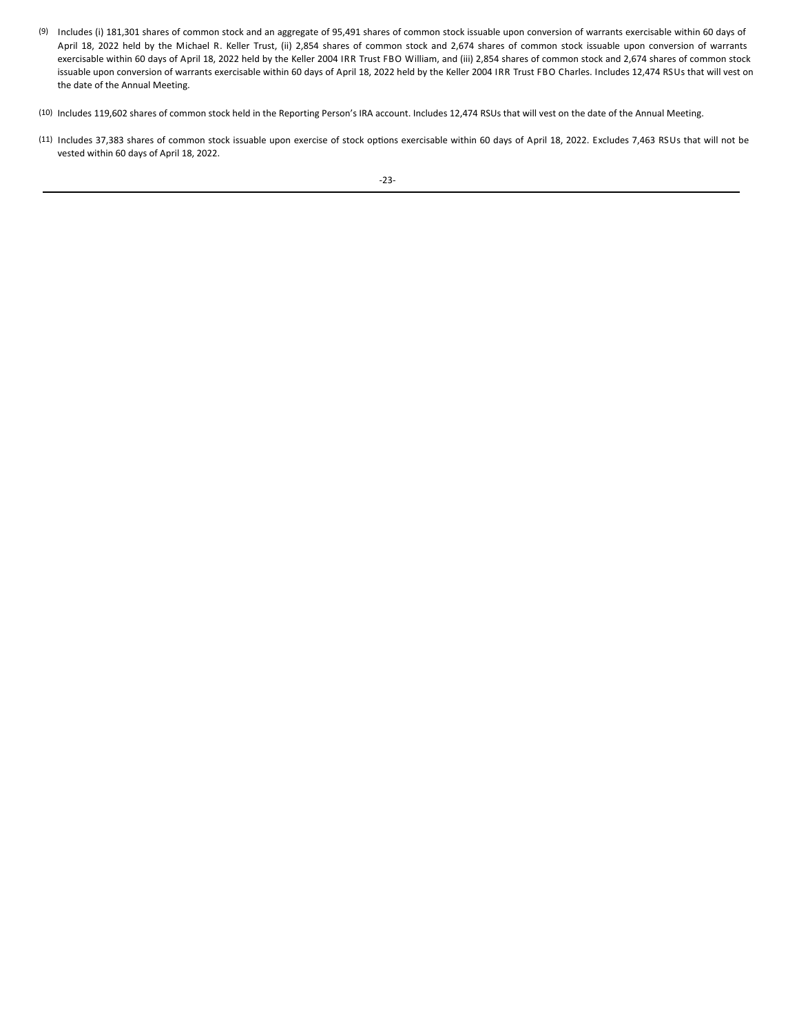- (9) Includes (i) 181,301 shares of common stock and an aggregate of 95,491 shares of common stock issuable upon conversion of warrants exercisable within 60 days of April 18, 2022 held by the Michael R. Keller Trust, (ii) 2,854 shares of common stock and 2,674 shares of common stock issuable upon conversion of warrants exercisable within 60 days of April 18, 2022 held by the Keller 2004 IRR Trust FBO William, and (iii) 2,854 shares of common stock and 2,674 shares of common stock issuable upon conversion of warrants exercisable within 60 days of April 18, 2022 held by the Keller 2004 IRR Trust FBO Charles. Includes 12,474 RSUs that will vest on the date of the Annual Meeting.
- (10) Includes 119,602 shares of common stock held in the Reporting Person's IRA account. Includes 12,474 RSUs that will vest on the date of the Annual Meeting.
- (11) Includes 37,383 shares of common stock issuable upon exercise of stock options exercisable within 60 days of April 18, 2022. Excludes 7,463 RSUs that will not be vested within 60 days of April 18, 2022.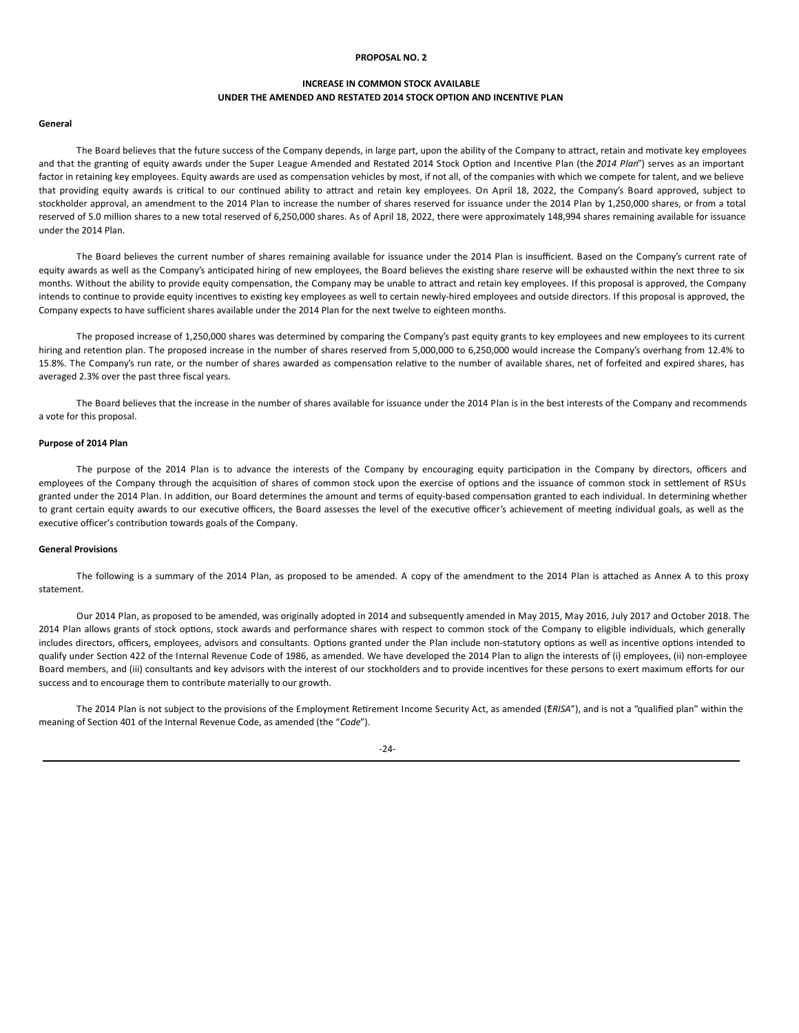## **PROPOSAL NO. 2**

# **INCREASE IN COMMON STOCK AVAILABLE UNDER THE AMENDED AND RESTATED 2014 STOCK OPTION AND INCENTIVE PLAN**

## **General**

The Board believes that the future success of the Company depends, in large part, upon the ability of the Company to attract, retain and motivate key employees and that the granting of equity awards under the Super League Amended and Restated 2014 Stock Option and Incentive Plan (the 2014 Plan") serves as an important factor in retaining key employees. Equity awards are used as compensation vehicles by most, if not all, of the companies with which we compete for talent, and we believe that providing equity awards is critical to our continued ability to attract and retain key employees. On April 18, 2022, the Company's Board approved, subject to stockholder approval, an amendment to the 2014 Plan to increase the number of shares reserved for issuance under the 2014 Plan by 1,250,000 shares, or from a total reserved of 5.0 million shares to a new total reserved of 6,250,000 shares. As of April 18, 2022, there were approximately 148,994 shares remaining available for issuance under the 2014 Plan.

The Board believes the current number of shares remaining available for issuance under the 2014 Plan is insufficient. Based on the Company's current rate of equity awards as well as the Company's anticipated hiring of new employees, the Board believes the existing share reserve will be exhausted within the next three to six months. Without the ability to provide equity compensation, the Company may be unable to attract and retain key employees. If this proposal is approved, the Company intends to continue to provide equity incentives to existing key employees as well to certain newly-hired employees and outside directors. If this proposal is approved, the Company expects to have sufficient shares available under the 2014 Plan for the next twelve to eighteen months.

The proposed increase of 1,250,000 shares was determined by comparing the Company's past equity grants to key employees and new employees to its current hiring and retention plan. The proposed increase in the number of shares reserved from 5,000,000 to 6,250,000 would increase the Company's overhang from 12.4% to 15.8%. The Company's run rate, or the number of shares awarded as compensation relative to the number of available shares, net of forfeited and expired shares, has averaged 2.3% over the past three fiscal years.

The Board believes that the increase in the number of shares available for issuance under the 2014 Plan is in the best interests of the Company and recommends a vote for this proposal.

### **Purpose of 2014 Plan**

The purpose of the 2014 Plan is to advance the interests of the Company by encouraging equity participation in the Company by directors, officers and employees of the Company through the acquisition of shares of common stock upon the exercise of options and the issuance of common stock in settlement of RSUs granted under the 2014 Plan. In addition, our Board determines the amount and terms of equity-based compensation granted to each individual. In determining whether to grant certain equity awards to our executive officers, the Board assesses the level of the executive officer's achievement of meeting individual goals, as well as the executive officer's contribution towards goals of the Company.

## **General Provisions**

The following is a summary of the 2014 Plan, as proposed to be amended. A copy of the amendment to the 2014 Plan is attached as Annex A to this proxy statement.

Our 2014 Plan, as proposed to be amended, was originally adopted in 2014 and subsequently amended in May 2015, May 2016, July 2017 and October 2018. The 2014 Plan allows grants of stock options, stock awards and performance shares with respect to common stock of the Company to eligible individuals, which generally includes directors, officers, employees, advisors and consultants. Options granted under the Plan include non-statutory options as well as incentive options intended to qualify under Section 422 of the Internal Revenue Code of 1986, as amended. We have developed the 2014 Plan to align the interests of (i) employees, (ii) non-employee Board members, and (iii) consultants and key advisors with the interest of our stockholders and to provide incentives for these persons to exert maximum efforts for our success and to encourage them to contribute materially to our growth.

The 2014 Plan is not subject to the provisions of the Employment Retirement Income Security Act, as amended (*'ERISA''*), and is not a "qualified plan" within the meaning of Section 401 of the Internal Revenue Code, as amended (the "*Code*").

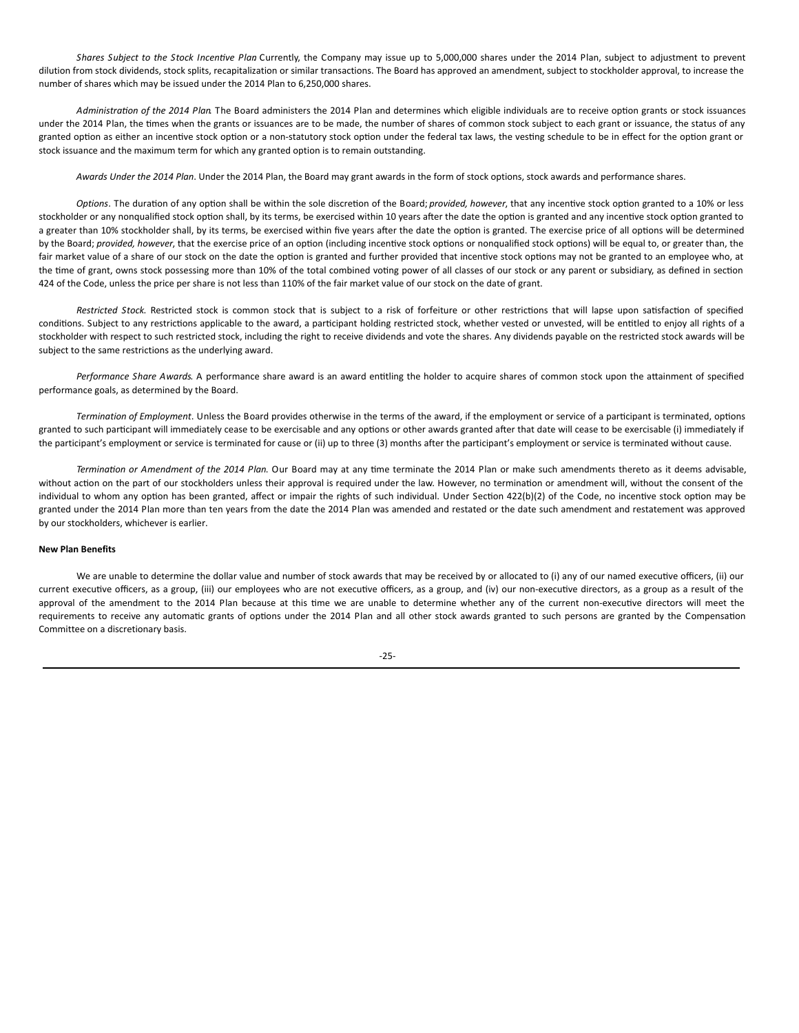*Shares Subject to the Stock Incentive Plan* Currently, the Company may issue up to 5,000,000 shares under the 2014 Plan, subject to adjustment to prevent dilution from stock dividends, stock splits, recapitalization or similar transactions. The Board has approved an amendment, subject to stockholder approval, to increase the number of shares which may be issued under the 2014 Plan to 6,250,000 shares.

Administration of the 2014 Plan. The Board administers the 2014 Plan and determines which eligible individuals are to receive option grants or stock issuances under the 2014 Plan, the times when the grants or issuances are to be made, the number of shares of common stock subject to each grant or issuance, the status of any granted option as either an incentive stock option or a non-statutory stock option under the federal tax laws, the vesting schedule to be in effect for the option grant or stock issuance and the maximum term for which any granted option is to remain outstanding.

*Awards Under the 2014 Plan*. Under the 2014 Plan, the Board may grant awards in the form of stock options, stock awards and performance shares.

*Options*. The duration of any option shall be within the sole discretion of the Board; *provided, however*, that any incentive stock option granted to a 10% or less stockholder or any nonqualified stock option shall, by its terms, be exercised within 10 years after the date the option is granted and any incentive stock option granted to a greater than 10% stockholder shall, by its terms, be exercised within five years after the date the option is granted. The exercise price of all options will be determined by the Board; provided, however, that the exercise price of an option (including incentive stock options or nonqualified stock options) will be equal to, or greater than, the fair market value of a share of our stock on the date the option is granted and further provided that incentive stock options may not be granted to an employee who, at the time of grant, owns stock possessing more than 10% of the total combined voting power of all classes of our stock or any parent or subsidiary, as defined in section 424 of the Code, unless the price per share is not less than 110% of the fair market value of our stock on the date of grant.

Restricted Stock. Restricted stock is common stock that is subject to a risk of forfeiture or other restrictions that will lapse upon satisfaction of specified conditions. Subject to any restrictions applicable to the award, a participant holding restricted stock, whether vested or unvested, will be entitled to enjoy all rights of a stockholder with respect to such restricted stock, including the right to receive dividends and vote the shares. Any dividends payable on the restricted stock awards will be subject to the same restrictions as the underlying award.

Performance Share Awards. A performance share award is an award entitling the holder to acquire shares of common stock upon the attainment of specified performance goals, as determined by the Board.

Termination of *Employment*. Unless the Board provides otherwise in the terms of the award, if the employment or service of a participant is terminated, options granted to such participant will immediately cease to be exercisable and any options or other awards granted after that date will cease to be exercisable (i) immediately if the participant's employment or service is terminated for cause or (ii) up to three (3) months after the participant's employment or service is terminated without cause.

*Termination or Amendment of the 2014 Plan*. Our Board may at any time terminate the 2014 Plan or make such amendments thereto as it deems advisable, without action on the part of our stockholders unless their approval is required under the law. However, no termination or amendment will, without the consent of the individual to whom any option has been granted, affect or impair the rights of such individual. Under Section 422(b)(2) of the Code, no incentive stock option may be granted under the 2014 Plan more than ten years from the date the 2014 Plan was amended and restated or the date such amendment and restatement was approved by our stockholders, whichever is earlier.

## **New Plan Benefits**

We are unable to determine the dollar value and number of stock awards that may be received by or allocated to (i) any of our named executive officers, (ii) our current executive officers, as a group, (iii) our employees who are not executive officers, as a group, and (iv) our non-executive directors, as a group as a result of the approval of the amendment to the 2014 Plan because at this time we are unable to determine whether any of the current non-executive directors will meet the requirements to receive any automatic grants of options under the 2014 Plan and all other stock awards granted to such persons are granted by the Compensation Committee on a discretionary basis.

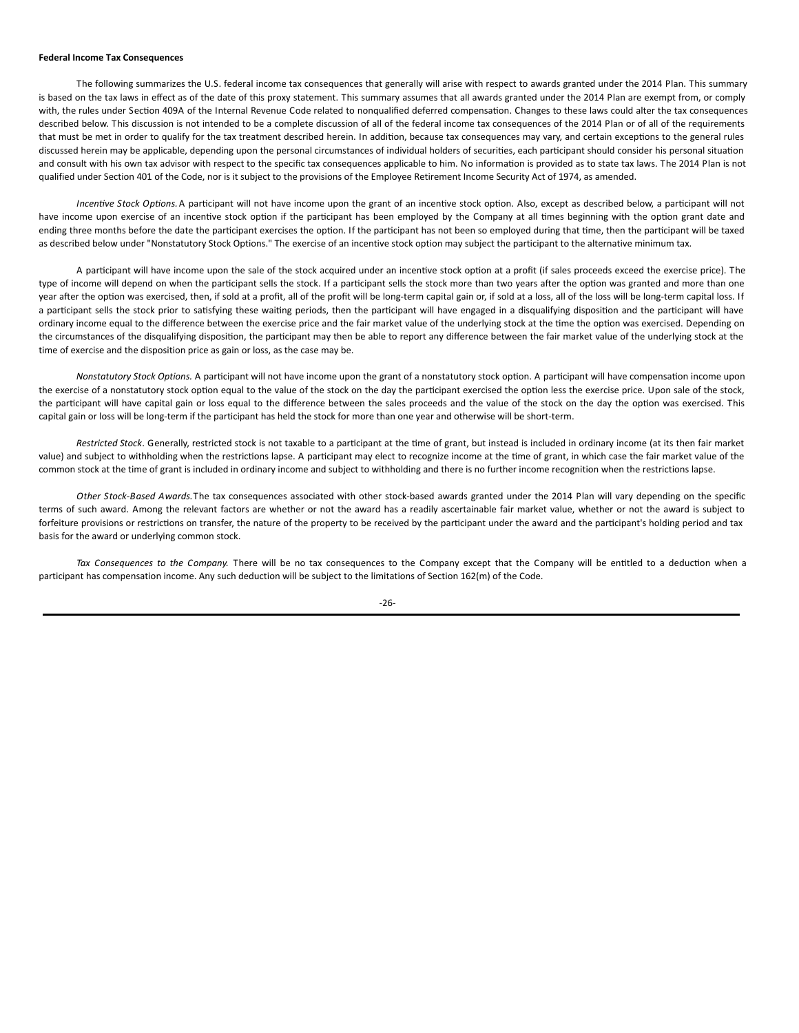#### **Federal Income Tax Consequences**

The following summarizes the U.S. federal income tax consequences that generally will arise with respect to awards granted under the 2014 Plan. This summary is based on the tax laws in effect as of the date of this proxy statement. This summary assumes that all awards granted under the 2014 Plan are exempt from, or comply with, the rules under Section 409A of the Internal Revenue Code related to nonqualified deferred compensation. Changes to these laws could alter the tax consequences described below. This discussion is not intended to be a complete discussion of all of the federal income tax consequences of the 2014 Plan or of all of the requirements that must be met in order to qualify for the tax treatment described herein. In addition, because tax consequences may vary, and certain exceptions to the general rules discussed herein may be applicable, depending upon the personal circumstances of individual holders of securities, each participant should consider his personal situation and consult with his own tax advisor with respect to the specific tax consequences applicable to him. No information is provided as to state tax laws. The 2014 Plan is not qualified under Section 401 of the Code, nor is it subject to the provisions of the Employee Retirement Income Security Act of 1974, as amended.

*Incentive Stock Options.* A participant will not have income upon the grant of an incentive stock option. Also, except as described below, a participant will not have income upon exercise of an incentive stock option if the participant has been employed by the Company at all times beginning with the option grant date and ending three months before the date the participant exercises the option. If the participant has not been so employed during that time, then the participant will be taxed as described below under "Nonstatutory Stock Options." The exercise of an incentive stock option may subject the participant to the alternative minimum tax.

A participant will have income upon the sale of the stock acquired under an incentive stock option at a profit (if sales proceeds exceed the exercise price). The type of income will depend on when the participant sells the stock. If a participant sells the stock more than two years after the option was granted and more than one year after the option was exercised, then, if sold at a profit, all of the profit will be long-term capital gain or, if sold at a loss, all of the loss will be long-term capital loss. If a participant sells the stock prior to satisfying these waiting periods, then the participant will have engaged in a disqualifying disposition and the participant will have ordinary income equal to the difference between the exercise price and the fair market value of the underlying stock at the time the option was exercised. Depending on the circumstances of the disqualifying disposition, the participant may then be able to report any difference between the fair market value of the underlying stock at the time of exercise and the disposition price as gain or loss, as the case may be.

*Nonstatutory Stock Options.* A participant will not have income upon the grant of a nonstatutory stock option. A participant will have compensation income upon the exercise of a nonstatutory stock option equal to the value of the stock on the day the participant exercised the option less the exercise price. Upon sale of the stock, the participant will have capital gain or loss equal to the difference between the sales proceeds and the value of the stock on the day the option was exercised. This capital gain or loss will be long-term if the participant has held the stock for more than one year and otherwise will be short-term.

Restricted Stock. Generally, restricted stock is not taxable to a participant at the time of grant, but instead is included in ordinary income (at its then fair market value) and subject to withholding when the restrictions lapse. A participant may elect to recognize income at the time of grant, in which case the fair market value of the common stock at the time of grant is included in ordinary income and subject to withholding and there is no further income recognition when the restrictions lapse.

*Other Stock-Based Awards.*The tax consequences associated with other stock-based awards granted under the 2014 Plan will vary depending on the specific terms of such award. Among the relevant factors are whether or not the award has a readily ascertainable fair market value, whether or not the award is subject to forfeiture provisions or restrictions on transfer, the nature of the property to be received by the participant under the award and the participant's holding period and tax basis for the award or underlying common stock.

Tax Consequences to the Company. There will be no tax consequences to the Company except that the Company will be entitled to a deduction when a participant has compensation income. Any such deduction will be subject to the limitations of Section 162(m) of the Code.

-26-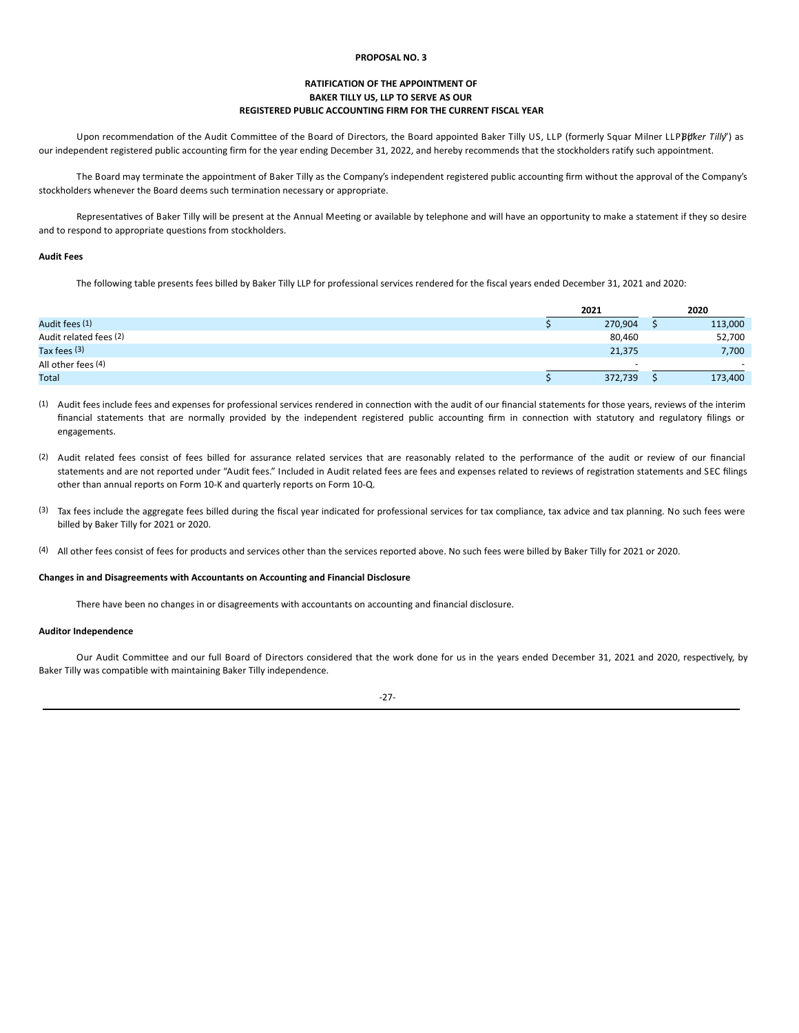## **PROPOSAL NO. 3**

# **RATIFICATION OF THE APPOINTMENT OF BAKER TILLY US, LLP TO SERVE AS OUR REGISTERED PUBLIC ACCOUNTING FIRM FOR THE CURRENT FISCAL YEAR**

Upon recommendation of the Audit Committee of the Board of Directors, the Board appointed Baker Tilly US, LLP (formerly Squar Milner LLPB(*fker Tilly'*) as our independent registered public accounting firm for the year ending December 31, 2022, and hereby recommends that the stockholders ratify such appointment.

The Board may terminate the appointment of Baker Tilly as the Company's independent registered public accounting firm without the approval of the Company's stockholders whenever the Board deems such termination necessary or appropriate.

Representatives of Baker Tilly will be present at the Annual Meeting or available by telephone and will have an opportunity to make a statement if they so desire and to respond to appropriate questions from stockholders.

# **Audit Fees**

The following table presents fees billed by Baker Tilly LLP for professional services rendered for the fiscal years ended December 31, 2021 and 2020:

|                        | 2021 |                          |  |                          |
|------------------------|------|--------------------------|--|--------------------------|
| Audit fees (1)         |      | 270,904                  |  | 113,000                  |
| Audit related fees (2) |      | 80,460                   |  | 52,700                   |
| Tax fees $(3)$         |      | 21,375                   |  | 7,700                    |
| All other fees (4)     |      | $\overline{\phantom{a}}$ |  | $\overline{\phantom{a}}$ |
| Total                  |      | 372,739                  |  | 173,400                  |

(1) Audit fees include fees and expenses for professional services rendered in connection with the audit of our financial statements for those years, reviews of the interim financial statements that are normally provided by the independent registered public accounting firm in connection with statutory and regulatory filings or engagements.

- (2) Audit related fees consist of fees billed for assurance related services that are reasonably related to the performance of the audit or review of our financial statements and are not reported under "Audit fees." Included in Audit related fees are fees and expenses related to reviews of registration statements and SEC filings other than annual reports on Form 10-K and quarterly reports on Form 10-Q.
- (3) Tax fees include the aggregate fees billed during the fiscal year indicated for professional services for tax compliance, tax advice and tax planning. No such fees were billed by Baker Tilly for 2021 or 2020.
- (4) All other fees consist of fees for products and services other than the services reported above. No such fees were billed by Baker Tilly for 2021 or 2020.

### **Changes in and Disagreements with Accountants on Accounting and Financial Disclosure**

There have been no changes in or disagreements with accountants on accounting and financial disclosure.

# **Auditor Independence**

Our Audit Committee and our full Board of Directors considered that the work done for us in the years ended December 31, 2021 and 2020, respectively, by Baker Tilly was compatible with maintaining Baker Tilly independence.

-27-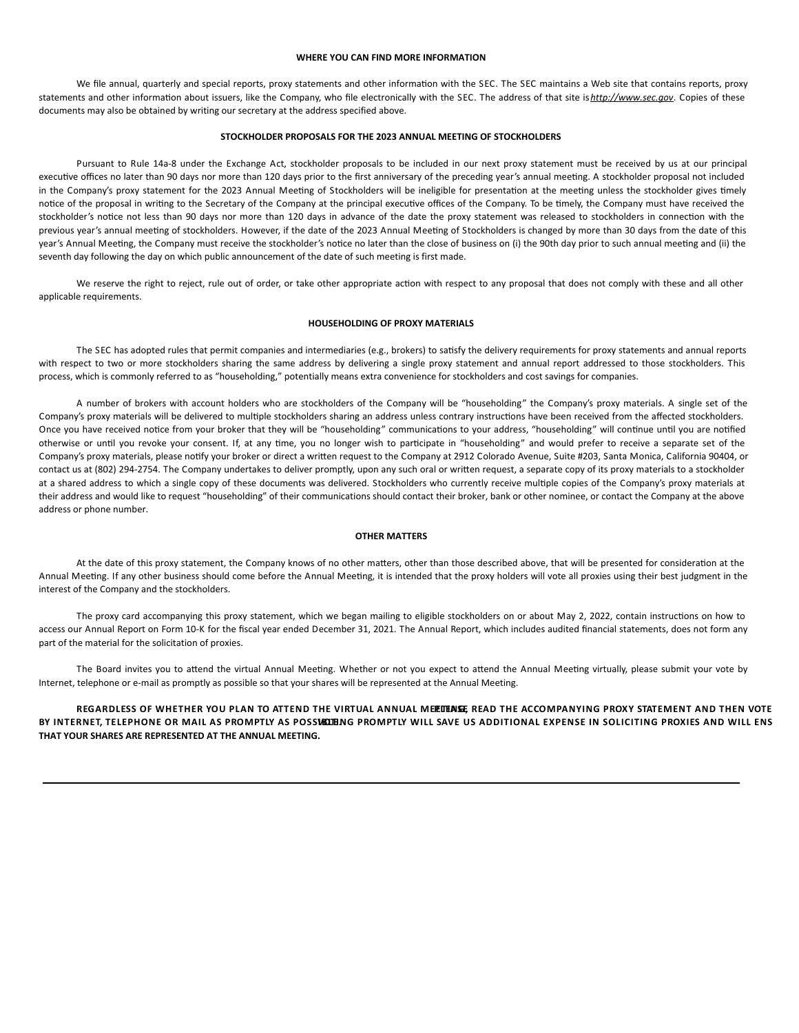## **WHERE YOU CAN FIND MORE INFORMATION**

We file annual, quarterly and special reports, proxy statements and other information with the SEC. The SEC maintains a Web site that contains reports, proxy statements and other information about issuers, like the Company, who file electronically with the SEC. The address of that site is *http://www.sec.gov*. Copies of these documents may also be obtained by writing our secretary at the address specified above.

## **STOCKHOLDER PROPOSALS FOR THE 2023 ANNUAL MEETING OF STOCKHOLDERS**

Pursuant to Rule 14a-8 under the Exchange Act, stockholder proposals to be included in our next proxy statement must be received by us at our principal executive offices no later than 90 days nor more than 120 days prior to the first anniversary of the preceding year's annual meeting. A stockholder proposal not included in the Company's proxy statement for the 2023 Annual Meeting of Stockholders will be ineligible for presentation at the meeting unless the stockholder gives timely notice of the proposal in writing to the Secretary of the Company at the principal executive offices of the Company. To be timely, the Company must have received the stockholder's notice not less than 90 days nor more than 120 days in advance of the date the proxy statement was released to stockholders in connection with the previous year's annual meeting of stockholders. However, if the date of the 2023 Annual Meeting of Stockholders is changed by more than 30 days from the date of this year's Annual Meeting, the Company must receive the stockholder's notice no later than the close of business on (i) the 90th day prior to such annual meeting and (ii) the seventh day following the day on which public announcement of the date of such meeting is first made.

We reserve the right to reject, rule out of order, or take other appropriate action with respect to any proposal that does not comply with these and all other applicable requirements.

## **HOUSEHOLDING OF PROXY MATERIALS**

The SEC has adopted rules that permit companies and intermediaries (e.g., brokers) to satisfy the delivery requirements for proxy statements and annual reports with respect to two or more stockholders sharing the same address by delivering a single proxy statement and annual report addressed to those stockholders. This process, which is commonly referred to as "householding," potentially means extra convenience for stockholders and cost savings for companies.

A number of brokers with account holders who are stockholders of the Company will be "householding" the Company's proxy materials. A single set of the Company's proxy materials will be delivered to multiple stockholders sharing an address unless contrary instructions have been received from the affected stockholders. Once you have received notice from your broker that they will be "householding" communications to your address, "householding" will continue until you are notified otherwise or until you revoke your consent. If, at any time, you no longer wish to participate in "householding" and would prefer to receive a separate set of the Company's proxy materials, please notify your broker or direct a written request to the Company at 2912 Colorado Avenue, Suite #203, Santa Monica, California 90404, or contact us at (802) 294-2754. The Company undertakes to deliver promptly, upon any such oral or written request, a separate copy of its proxy materials to a stockholder at a shared address to which a single copy of these documents was delivered. Stockholders who currently receive multiple copies of the Company's proxy materials at their address and would like to request "householding" of their communications should contact their broker, bank or other nominee, or contact the Company at the above address or phone number.

## **OTHER MATTERS**

At the date of this proxy statement, the Company knows of no other matters, other than those described above, that will be presented for consideration at the Annual Meeting. If any other business should come before the Annual Meeting, it is intended that the proxy holders will vote all proxies using their best judgment in the interest of the Company and the stockholders.

The proxy card accompanying this proxy statement, which we began mailing to eligible stockholders on or about May 2, 2022, contain instructions on how to access our Annual Report on Form 10-K for the fiscal year ended December 31, 2021. The Annual Report, which includes audited financial statements, does not form any part of the material for the solicitation of proxies.

The Board invites you to attend the virtual Annual Meeting. Whether or not you expect to attend the Annual Meeting virtually, please submit your vote by Internet, telephone or e-mail as promptly as possible so that your shares will be represented at the Annual Meeting.

REGARDLESS OF WHETHER YOU PLAN TO ATTEND THE VIRTUAL ANNUAL MERITING READ THE ACCOMPANYING PROXY STATEMENT AND THEN VOTE BY INTERNET, TELEPHONE OR MAIL AS PROMPTLY AS POSSUELIBNG PROMPTLY WILL SAVE US ADDITIONAL EXPENSE IN SOLICITING PROXIES AND WILL ENS **THAT YOUR SHARES ARE REPRESENTED AT THE ANNUAL MEETING.**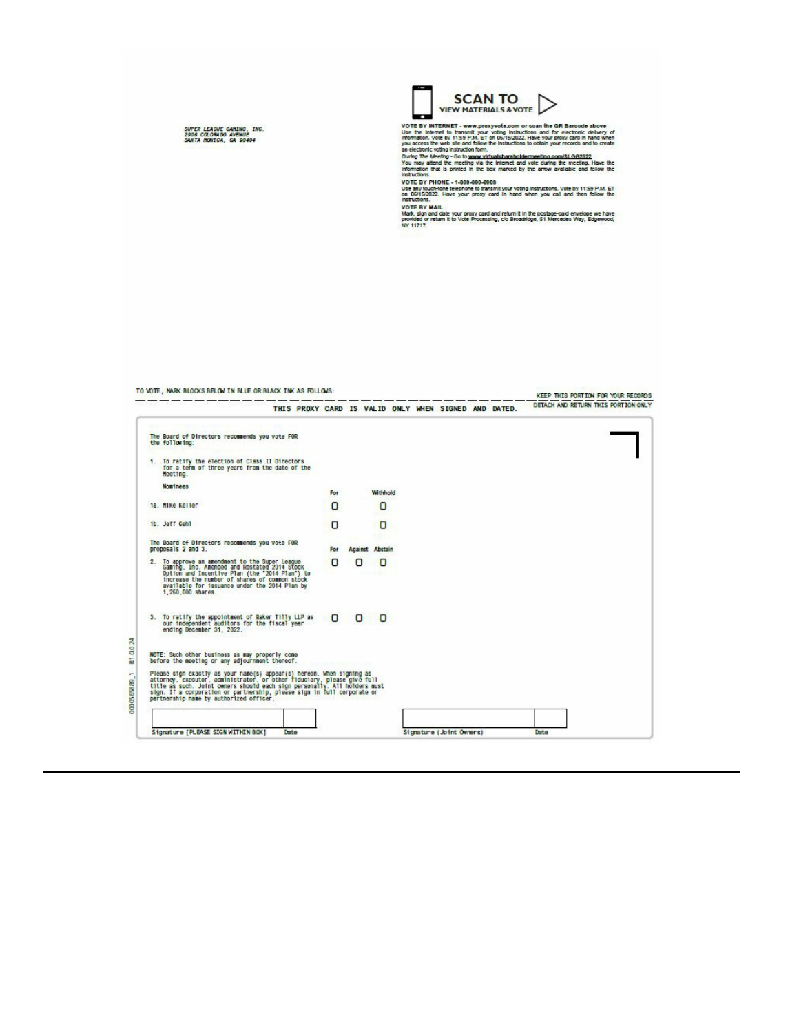SUPER LEAGUE GAMING, INC.<br>2906 COLORADO AVENUE<br>SANTA MONICA, CA 90404



VIEW THAT ENDIRED & VOTE BY INTERFERING AND THE SERVICE STATES IN THE UNIT OF THE INTERFERING THAT INTERFERING THE INTERFERING IN THE SPAIN ET ON DEVISION AND IS the intermed by 1153 P.M. ET ON DEVISION 2. Have your access

TO VOTE, WARK BLOCKS BELOW IN BLUE OR BLACK INK AS FOLLOWS: -----

KEEP THIS PORTION FOR YOUR RECORDS<br>DETACH AND RETURN THIS PORTION ONLY

|                                                                                                                                                                                                                                                                                                                                                     | THIS PROXY CARD IS VALID ONLY WHEN SIGNED AND DATED. |        |   |                        |                          |  |      | DETACH AND RETURN THIS PORTION ONLY |
|-----------------------------------------------------------------------------------------------------------------------------------------------------------------------------------------------------------------------------------------------------------------------------------------------------------------------------------------------------|------------------------------------------------------|--------|---|------------------------|--------------------------|--|------|-------------------------------------|
| The Board of Directors recommends you vote FOR<br>the following:                                                                                                                                                                                                                                                                                    |                                                      |        |   |                        |                          |  |      |                                     |
| 1. To ratify the election of Class II Directors<br>for a term of three years from the date of the<br>Meeting.                                                                                                                                                                                                                                       |                                                      |        |   |                        |                          |  |      |                                     |
| Nominees                                                                                                                                                                                                                                                                                                                                            |                                                      | For    |   | Withhold               |                          |  |      |                                     |
| 1a. Mike Keller                                                                                                                                                                                                                                                                                                                                     |                                                      | Ω      |   | O                      |                          |  |      |                                     |
| 1b. Jeff Gehl                                                                                                                                                                                                                                                                                                                                       |                                                      | n      |   | o                      |                          |  |      |                                     |
| The Board of Directors recommends you vote FOR<br>proposals 2 and 3.                                                                                                                                                                                                                                                                                |                                                      | For    |   | <b>Against Abstain</b> |                          |  |      |                                     |
| 2. To approve an amendment to the Super League<br>Gaming, Inc. Amended and Restated 2014 Stock<br>Option and Incentive Plan (the "2014 Plan") to<br>increase the number of shares of common stock<br>available for issuance under the 2014 Plan by<br>1,250,000 shares.                                                                             |                                                      | п      |   | O                      |                          |  |      |                                     |
| 3. To ratify the appointment of Baker Tilly LLP as<br>our independent auditors for the fiscal year<br>ending December 31, 2022.                                                                                                                                                                                                                     |                                                      | $\Box$ | Ω | 0                      |                          |  |      |                                     |
| NOTE: Such other business as may properly come<br>before the meeting or any adjournment thereof.                                                                                                                                                                                                                                                    |                                                      |        |   |                        |                          |  |      |                                     |
| Please sign exactly as your name(s) appear(s) hereon. When signing as<br>attorney, executor, administrator, or other fiduciary, please give full<br>title as such. Joint owners should each sign personally. All holders must<br>sign. If a corporation or partnership, please sign in full corporate or<br>partnership name by authorized officer. |                                                      |        |   |                        |                          |  |      |                                     |
| Signature [PLEASE SIGN WITHIN BOX]                                                                                                                                                                                                                                                                                                                  | Date                                                 |        |   |                        | Signature (Joint Owners) |  | Date |                                     |